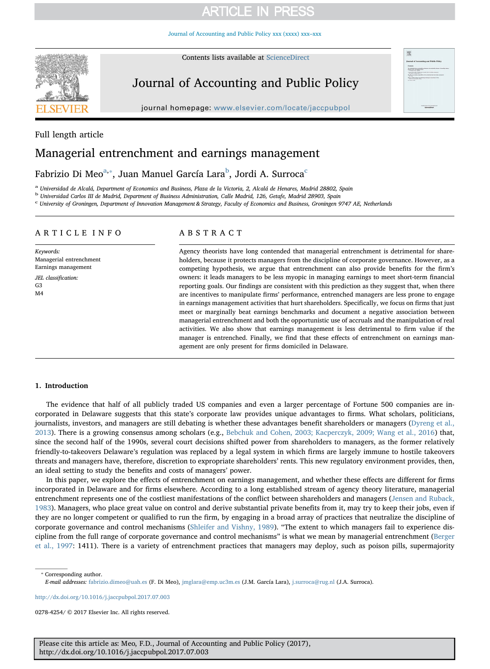[Journal of Accounting and Public Policy xxx \(xxxx\) xxx–xxx](http://dx.doi.org/10.1016/j.jaccpubpol.2017.07.003)



Contents lists available at [ScienceDirect](http://www.sciencedirect.com/science/journal/02784254)

# Journal of Accounting and Public Policy

journal homepage: [www.elsevier.com/locate/jaccpubpol](http://www.elsevier.com/locate/jaccpubpol)



## Full length article

## Managerial entrenchment and earnings management

## Fa[b](#page-0-2)rizio Di Meo $\mathrm{^{a,*}}$  $\mathrm{^{a,*}}$  $\mathrm{^{a,*}}$ , Juan Manuel Gar[c](#page-0-3)ía Lara $\mathrm{^{b}}$ , Jordi A. Surroca $\mathrm{^{c}}$

<span id="page-0-0"></span><sup>a</sup> Universidad de Alcalá, Department of Economics and Business, Plaza de la Victoria, 2, Alcalá de Henares, Madrid 28802, Spain

<span id="page-0-2"></span><sup>b</sup> Universidad Carlos III de Madrid, Department of Business Administration, Calle Madrid, 126, Getafe, Madrid 28903, Spain

<span id="page-0-3"></span><sup>c</sup> University of Groningen, Department of Innovation Management & Strategy, Faculty of Economics and Business, Groningen 9747 AE, Netherlands

## ARTICLE INFO

Keywords: Managerial entrenchment Earnings management

JEL classification: G3  $MA$ 

## ABSTRACT

Agency theorists have long contended that managerial entrenchment is detrimental for shareholders, because it protects managers from the discipline of corporate governance. However, as a competing hypothesis, we argue that entrenchment can also provide benefits for the firm's owners: it leads managers to be less myopic in managing earnings to meet short-term financial reporting goals. Our findings are consistent with this prediction as they suggest that, when there are incentives to manipulate firms' performance, entrenched managers are less prone to engage in earnings management activities that hurt shareholders. Specifically, we focus on firms that just meet or marginally beat earnings benchmarks and document a negative association between managerial entrenchment and both the opportunistic use of accruals and the manipulation of real activities. We also show that earnings management is less detrimental to firm value if the manager is entrenched. Finally, we find that these effects of entrenchment on earnings management are only present for firms domiciled in Delaware.

### 1. Introduction

The evidence that half of all publicly traded US companies and even a larger percentage of Fortune 500 companies are incorporated in Delaware suggests that this state's corporate law provides unique advantages to firms. What scholars, politicians, journalists, investors, and managers are still debating is whether these advantages benefit shareholders or managers [\(Dyreng et al.,](#page-15-0) [2013\)](#page-15-0). There is a growing consensus among scholars (e.g., [Bebchuk and Cohen, 2003; Kacperczyk, 2009; Wang et al., 2016](#page-14-0)) that, since the second half of the 1990s, several court decisions shifted power from shareholders to managers, as the former relatively friendly-to-takeovers Delaware's regulation was replaced by a legal system in which firms are largely immune to hostile takeovers threats and managers have, therefore, discretion to expropriate shareholders' rents. This new regulatory environment provides, then, an ideal setting to study the benefits and costs of managers' power.

In this paper, we explore the effects of entrenchment on earnings management, and whether these effects are different for firms incorporated in Delaware and for firms elsewhere. According to a long established stream of agency theory literature, managerial entrenchment represents one of the costliest manifestations of the conflict between shareholders and managers [\(Jensen and Ruback,](#page-15-1) [1983\)](#page-15-1). Managers, who place great value on control and derive substantial private benefits from it, may try to keep their jobs, even if they are no longer competent or qualified to run the firm, by engaging in a broad array of practices that neutralize the discipline of corporate governance and control mechanisms ([Shleifer and Vishny, 1989](#page-15-2)). "The extent to which managers fail to experience discipline from the full range of corporate governance and control mechanisms" is what we mean by managerial entrenchment [\(Berger](#page-14-1) [et al., 1997:](#page-14-1) 1411). There is a variety of entrenchment practices that managers may deploy, such as poison pills, supermajority

<span id="page-0-1"></span>⁎ Corresponding author. E-mail addresses: [fabrizio.dimeo@uah.es](mailto:fabrizio.dimeo@uah.es) (F. Di Meo), [jmglara@emp.uc3m.es](mailto:jmglara@emp.uc3m.es) (J.M. García Lara), [j.surroca@rug.nl](mailto:j.surroca@rug.nl) (J.A. Surroca).

<http://dx.doi.org/10.1016/j.jaccpubpol.2017.07.003>

0278-4254/ © 2017 Elsevier Inc. All rights reserved.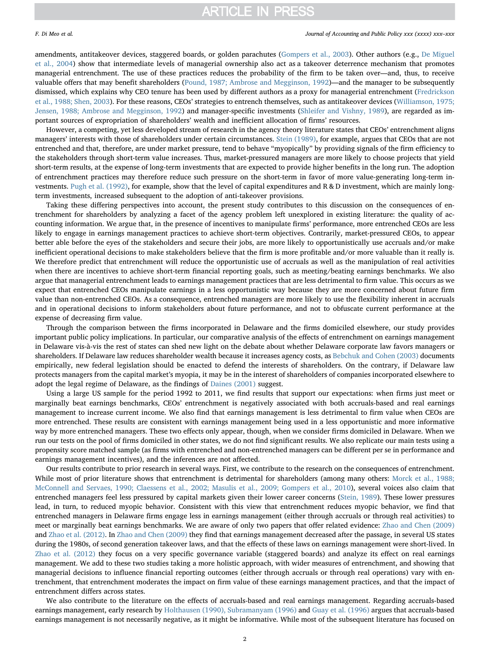### F. Di Meo et al. *Journal of Accounting and Public Policy xxx (xxxx) xxx–xxx*

amendments, antitakeover devices, staggered boards, or golden parachutes ([Gompers et al., 2003\)](#page-15-3). Other authors (e.g., [De Miguel](#page-15-4) [et al., 2004\)](#page-15-4) show that intermediate levels of managerial ownership also act as a takeover deterrence mechanism that promotes managerial entrenchment. The use of these practices reduces the probability of the firm to be taken over—and, thus, to receive valuable offers that may benefit shareholders [\(Pound, 1987; Ambrose and Megginson, 1992](#page-15-5))—and the manager to be subsequently dismissed, which explains why CEO tenure has been used by different authors as a proxy for managerial entrenchment ([Fredrickson](#page-15-6) [et al., 1988; Shen, 2003](#page-15-6)). For these reasons, CEOs' strategies to entrench themselves, such as antitakeover devices ([Williamson, 1975;](#page-15-7) [Jensen, 1988; Ambrose and Megginson, 1992](#page-15-7)) and manager-specific investments [\(Shleifer and Vishny, 1989](#page-15-2)), are regarded as important sources of expropriation of shareholders' wealth and inefficient allocation of firms' resources.

However, a competing, yet less developed stream of research in the agency theory literature states that CEOs' entrenchment aligns managers' interests with those of shareholders under certain circumstances. [Stein \(1989\)](#page-15-8), for example, argues that CEOs that are not entrenched and that, therefore, are under market pressure, tend to behave "myopically" by providing signals of the firm efficiency to the stakeholders through short-term value increases. Thus, market-pressured managers are more likely to choose projects that yield short-term results, at the expense of long-term investments that are expected to provide higher benefits in the long run. The adoption of entrenchment practices may therefore reduce such pressure on the short-term in favor of more value-generating long-term investments. [Pugh et al. \(1992\)](#page-15-9), for example, show that the level of capital expenditures and R & D investment, which are mainly longterm investments, increased subsequent to the adoption of anti-takeover provisions.

Taking these differing perspectives into account, the present study contributes to this discussion on the consequences of entrenchment for shareholders by analyzing a facet of the agency problem left unexplored in existing literature: the quality of accounting information. We argue that, in the presence of incentives to manipulate firms' performance, more entrenched CEOs are less likely to engage in earnings management practices to achieve short-term objectives. Contrarily, market-pressured CEOs, to appear better able before the eyes of the stakeholders and secure their jobs, are more likely to opportunistically use accruals and/or make inefficient operational decisions to make stakeholders believe that the firm is more profitable and/or more valuable than it really is. We therefore predict that entrenchment will reduce the opportunistic use of accruals as well as the manipulation of real activities when there are incentives to achieve short-term financial reporting goals, such as meeting/beating earnings benchmarks. We also argue that managerial entrenchment leads to earnings management practices that are less detrimental to firm value. This occurs as we expect that entrenched CEOs manipulate earnings in a less opportunistic way because they are more concerned about future firm value than non-entrenched CEOs. As a consequence, entrenched managers are more likely to use the flexibility inherent in accruals and in operational decisions to inform stakeholders about future performance, and not to obfuscate current performance at the expense of decreasing firm value.

Through the comparison between the firms incorporated in Delaware and the firms domiciled elsewhere, our study provides important public policy implications. In particular, our comparative analysis of the effects of entrenchment on earnings management in Delaware vis-à-vis the rest of states can shed new light on the debate about whether Delaware corporate law favors managers or shareholders. If Delaware law reduces shareholder wealth because it increases agency costs, as [Bebchuk and Cohen \(2003\)](#page-14-0) documents empirically, new federal legislation should be enacted to defend the interests of shareholders. On the contrary, if Delaware law protects managers from the capital market's myopia, it may be in the interest of shareholders of companies incorporated elsewhere to adopt the legal regime of Delaware, as the findings of [Daines \(2001\)](#page-14-2) suggest.

Using a large US sample for the period 1992 to 2011, we find results that support our expectations: when firms just meet or marginally beat earnings benchmarks, CEOs' entrenchment is negatively associated with both accruals-based and real earnings management to increase current income. We also find that earnings management is less detrimental to firm value when CEOs are more entrenched. These results are consistent with earnings management being used in a less opportunistic and more informative way by more entrenched managers. These two effects only appear, though, when we consider firms domiciled in Delaware. When we run our tests on the pool of firms domiciled in other states, we do not find significant results. We also replicate our main tests using a propensity score matched sample (as firms with entrenched and non-entrenched managers can be different per se in performance and earnings management incentives), and the inferences are not affected.

Our results contribute to prior research in several ways. First, we contribute to the research on the consequences of entrenchment. While most of prior literature shows that entrenchment is detrimental for shareholders (among many others: [Morck et al., 1988;](#page-15-10) [McConnell and Servaes, 1990; Claessens et al., 2002; Masulis et al., 2009; Gompers et al., 2010\)](#page-15-10), several voices also claim that entrenched managers feel less pressured by capital markets given their lower career concerns [\(Stein, 1989](#page-15-8)). These lower pressures lead, in turn, to reduced myopic behavior. Consistent with this view that entrenchment reduces myopic behavior, we find that entrenched managers in Delaware firms engage less in earnings management (either through accruals or through real activities) to meet or marginally beat earnings benchmarks. We are aware of only two papers that offer related evidence: [Zhao and Chen \(2009\)](#page-15-11) and [Zhao et al. \(2012\).](#page-15-12) In [Zhao and Chen \(2009\)](#page-15-11) they find that earnings management decreased after the passage, in several US states during the 1980s, of second generation takeover laws, and that the effects of these laws on earnings management were short-lived. In [Zhao et al. \(2012\)](#page-15-12) they focus on a very specific governance variable (staggered boards) and analyze its effect on real earnings management. We add to these two studies taking a more holistic approach, with wider measures of entrenchment, and showing that managerial decisions to influence financial reporting outcomes (either through accruals or through real operations) vary with entrenchment, that entrenchment moderates the impact on firm value of these earnings management practices, and that the impact of entrenchment differs across states.

We also contribute to the literature on the effects of accruals-based and real earnings management. Regarding accruals-based earnings management, early research by [Holthausen \(1990\), Subramanyam \(1996\)](#page-15-13) and [Guay et al. \(1996\)](#page-15-14) argues that accruals-based earnings management is not necessarily negative, as it might be informative. While most of the subsequent literature has focused on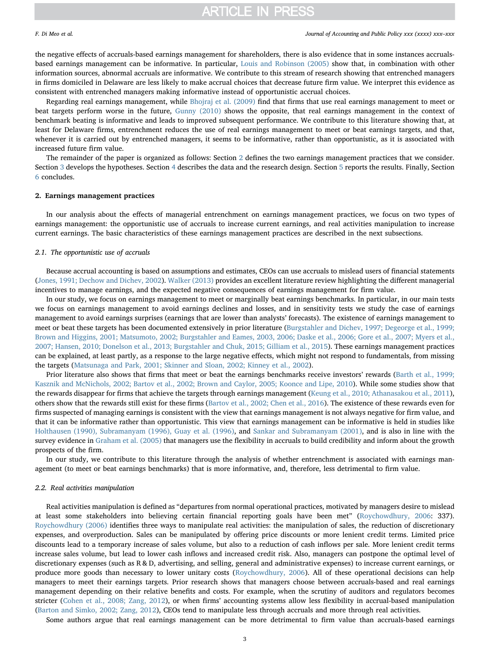the negative effects of accruals-based earnings management for shareholders, there is also evidence that in some instances accrualsbased earnings management can be informative. In particular, [Louis and Robinson \(2005\)](#page-15-15) show that, in combination with other information sources, abnormal accruals are informative. We contribute to this stream of research showing that entrenched managers in firms domiciled in Delaware are less likely to make accrual choices that decrease future firm value. We interpret this evidence as consistent with entrenched managers making informative instead of opportunistic accrual choices.

Regarding real earnings management, while [Bhojraj et al. \(2009\)](#page-14-3) find that firms that use real earnings management to meet or beat targets perform worse in the future, [Gunny \(2010\)](#page-15-16) shows the opposite, that real earnings management in the context of benchmark beating is informative and leads to improved subsequent performance. We contribute to this literature showing that, at least for Delaware firms, entrenchment reduces the use of real earnings management to meet or beat earnings targets, and that, whenever it is carried out by entrenched managers, it seems to be informative, rather than opportunistic, as it is associated with increased future firm value.

The remainder of the paper is organized as follows: Section [2](#page-2-0) defines the two earnings management practices that we consider. Section [3](#page-3-0) develops the hypotheses. Section [4](#page-4-0) describes the data and the research design. Section [5](#page-7-0) reports the results. Finally, Section [6](#page-13-0) concludes.

### <span id="page-2-0"></span>2. Earnings management practices

In our analysis about the effects of managerial entrenchment on earnings management practices, we focus on two types of earnings management: the opportunistic use of accruals to increase current earnings, and real activities manipulation to increase current earnings. The basic characteristics of these earnings management practices are described in the next subsections.

### 2.1. The opportunistic use of accruals

Because accrual accounting is based on assumptions and estimates, CEOs can use accruals to mislead users of financial statements ([Jones, 1991; Dechow and Dichev, 2002](#page-15-17)). [Walker \(2013\)](#page-15-18) provides an excellent literature review highlighting the different managerial incentives to manage earnings, and the expected negative consequences of earnings management for firm value.

In our study, we focus on earnings management to meet or marginally beat earnings benchmarks. In particular, in our main tests we focus on earnings management to avoid earnings declines and losses, and in sensitivity tests we study the case of earnings management to avoid earnings surprises (earnings that are lower than analysts' forecasts). The existence of earnings management to meet or beat these targets has been documented extensively in prior literature ([Burgstahler and Dichev, 1997; Degeorge et al., 1999;](#page-14-4) [Brown and Higgins, 2001; Matsumoto, 2002; Burgstahler and Eames, 2003, 2006; Daske et al., 2006; Gore et al., 2007; Myers et al.,](#page-14-4) [2007; Hansen, 2010; Donelson et al., 2013; Burgstahler and Chuk, 2015; Gilliam et al., 2015](#page-14-4)). These earnings management practices can be explained, at least partly, as a response to the large negative effects, which might not respond to fundamentals, from missing the targets [\(Matsunaga and Park, 2001; Skinner and Sloan, 2002; Kinney et al., 2002](#page-15-19)).

Prior literature also shows that firms that meet or beat the earnings benchmarks receive investors' rewards [\(Barth et al., 1999;](#page-14-5) [Kasznik and McNichols, 2002; Bartov et al., 2002; Brown and Caylor, 2005; Koonce and Lipe, 2010](#page-14-5)). While some studies show that the rewards disappear for firms that achieve the targets through earnings management ([Keung et al., 2010; Athanasakou et al., 2011](#page-15-20)), others show that the rewards still exist for these firms ([Bartov et al., 2002; Chen et al., 2016](#page-14-6)). The existence of these rewards even for firms suspected of managing earnings is consistent with the view that earnings management is not always negative for firm value, and that it can be informative rather than opportunistic. This view that earnings management can be informative is held in studies like [Holthausen \(1990\), Subramanyam \(1996\), Guay et al. \(1996\)](#page-15-13), and [Sankar and Subramanyam \(2001\)](#page-15-21), and is also in line with the survey evidence in [Graham et al. \(2005\)](#page-15-22) that managers use the flexibility in accruals to build credibility and inform about the growth prospects of the firm.

In our study, we contribute to this literature through the analysis of whether entrenchment is associated with earnings management (to meet or beat earnings benchmarks) that is more informative, and, therefore, less detrimental to firm value.

### 2.2. Real activities manipulation

Real activities manipulation is defined as "departures from normal operational practices, motivated by managers desire to mislead at least some stakeholders into believing certain financial reporting goals have been met" ([Roychowdhury, 2006:](#page-15-23) 337). [Roychowdhury \(2006\)](#page-15-23) identifies three ways to manipulate real activities: the manipulation of sales, the reduction of discretionary expenses, and overproduction. Sales can be manipulated by offering price discounts or more lenient credit terms. Limited price discounts lead to a temporary increase of sales volume, but also to a reduction of cash inflows per sale. More lenient credit terms increase sales volume, but lead to lower cash inflows and increased credit risk. Also, managers can postpone the optimal level of discretionary expenses (such as R & D, advertising, and selling, general and administrative expenses) to increase current earnings, or produce more goods than necessary to lower unitary costs ([Roychowdhury, 2006\)](#page-15-23). All of these operational decisions can help managers to meet their earnings targets. Prior research shows that managers choose between accruals-based and real earnings management depending on their relative benefits and costs. For example, when the scrutiny of auditors and regulators becomes stricter [\(Cohen et al., 2008; Zang, 2012\)](#page-14-7), or when firms' accounting systems allow less flexibility in accrual-based manipulation ([Barton and Simko, 2002; Zang, 2012\)](#page-14-8), CEOs tend to manipulate less through accruals and more through real activities.

Some authors argue that real earnings management can be more detrimental to firm value than accruals-based earnings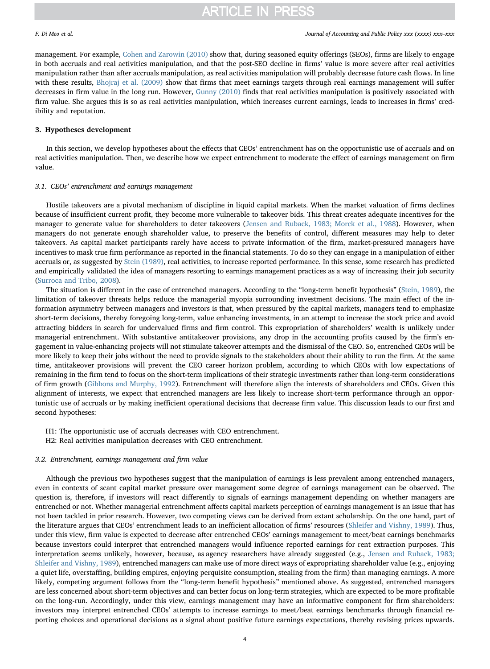management. For example, [Cohen and Zarowin \(2010\)](#page-14-9) show that, during seasoned equity offerings (SEOs), firms are likely to engage in both accruals and real activities manipulation, and that the post-SEO decline in firms' value is more severe after real activities manipulation rather than after accruals manipulation, as real activities manipulation will probably decrease future cash flows. In line with these results, [Bhojraj et al. \(2009\)](#page-14-3) show that firms that meet earnings targets through real earnings management will suffer decreases in firm value in the long run. However, [Gunny \(2010\)](#page-15-16) finds that real activities manipulation is positively associated with firm value. She argues this is so as real activities manipulation, which increases current earnings, leads to increases in firms' credibility and reputation.

### <span id="page-3-0"></span>3. Hypotheses development

In this section, we develop hypotheses about the effects that CEOs' entrenchment has on the opportunistic use of accruals and on real activities manipulation. Then, we describe how we expect entrenchment to moderate the effect of earnings management on firm value.

### 3.1. CEOs' entrenchment and earnings management

Hostile takeovers are a pivotal mechanism of discipline in liquid capital markets. When the market valuation of firms declines because of insufficient current profit, they become more vulnerable to takeover bids. This threat creates adequate incentives for the manager to generate value for shareholders to deter takeovers [\(Jensen and Ruback, 1983; Morck et al., 1988](#page-15-1)). However, when managers do not generate enough shareholder value, to preserve the benefits of control, different measures may help to deter takeovers. As capital market participants rarely have access to private information of the firm, market-pressured managers have incentives to mask true firm performance as reported in the financial statements. To do so they can engage in a manipulation of either accruals or, as suggested by [Stein \(1989\),](#page-15-8) real activities, to increase reported performance. In this sense, some research has predicted and empirically validated the idea of managers resorting to earnings management practices as a way of increasing their job security ([Surroca and Tribo, 2008](#page-15-24)).

The situation is different in the case of entrenched managers. According to the "long-term benefit hypothesis" [\(Stein, 1989](#page-15-8)), the limitation of takeover threats helps reduce the managerial myopia surrounding investment decisions. The main effect of the information asymmetry between managers and investors is that, when pressured by the capital markets, managers tend to emphasize short-term decisions, thereby foregoing long-term, value enhancing investments, in an attempt to increase the stock price and avoid attracting bidders in search for undervalued firms and firm control. This expropriation of shareholders' wealth is unlikely under managerial entrenchment. With substantive antitakeover provisions, any drop in the accounting profits caused by the firm's engagement in value-enhancing projects will not stimulate takeover attempts and the dismissal of the CEO. So, entrenched CEOs will be more likely to keep their jobs without the need to provide signals to the stakeholders about their ability to run the firm. At the same time, antitakeover provisions will prevent the CEO career horizon problem, according to which CEOs with low expectations of remaining in the firm tend to focus on the short-term implications of their strategic investments rather than long-term considerations of firm growth [\(Gibbons and Murphy, 1992](#page-15-25)). Entrenchment will therefore align the interests of shareholders and CEOs. Given this alignment of interests, we expect that entrenched managers are less likely to increase short-term performance through an opportunistic use of accruals or by making inefficient operational decisions that decrease firm value. This discussion leads to our first and second hypotheses:

- H1: The opportunistic use of accruals decreases with CEO entrenchment.
- H2: Real activities manipulation decreases with CEO entrenchment.

### 3.2. Entrenchment, earnings management and firm value

Although the previous two hypotheses suggest that the manipulation of earnings is less prevalent among entrenched managers, even in contexts of scant capital market pressure over management some degree of earnings management can be observed. The question is, therefore, if investors will react differently to signals of earnings management depending on whether managers are entrenched or not. Whether managerial entrenchment affects capital markets perception of earnings management is an issue that has not been tackled in prior research. However, two competing views can be derived from extant scholarship. On the one hand, part of the literature argues that CEOs' entrenchment leads to an inefficient allocation of firms' resources [\(Shleifer and Vishny, 1989\)](#page-15-2). Thus, under this view, firm value is expected to decrease after entrenched CEOs' earnings management to meet/beat earnings benchmarks because investors could interpret that entrenched managers would influence reported earnings for rent extraction purposes. This interpretation seems unlikely, however, because, as agency researchers have already suggested (e.g., [Jensen and Ruback, 1983;](#page-15-1) [Shleifer and Vishny, 1989](#page-15-1)), entrenched managers can make use of more direct ways of expropriating shareholder value (e.g., enjoying a quiet life, overstaffing, building empires, enjoying perquisite consumption, stealing from the firm) than managing earnings. A more likely, competing argument follows from the "long-term benefit hypothesis" mentioned above. As suggested, entrenched managers are less concerned about short-term objectives and can better focus on long-term strategies, which are expected to be more profitable on the long-run. Accordingly, under this view, earnings management may have an informative component for firm shareholders: investors may interpret entrenched CEOs' attempts to increase earnings to meet/beat earnings benchmarks through financial reporting choices and operational decisions as a signal about positive future earnings expectations, thereby revising prices upwards.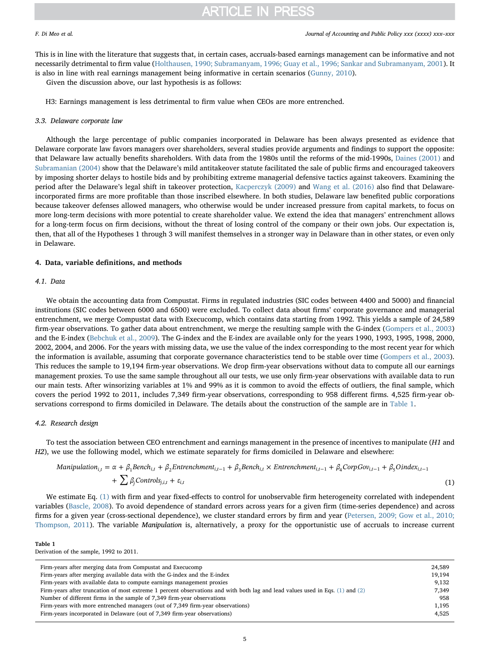This is in line with the literature that suggests that, in certain cases, accruals-based earnings management can be informative and not necessarily detrimental to firm value [\(Holthausen, 1990; Subramanyam, 1996; Guay et al., 1996; Sankar and Subramanyam, 2001\)](#page-15-13). It is also in line with real earnings management being informative in certain scenarios [\(Gunny, 2010](#page-15-16)).

Given the discussion above, our last hypothesis is as follows:

H3: Earnings management is less detrimental to firm value when CEOs are more entrenched.

### 3.3. Delaware corporate law

Although the large percentage of public companies incorporated in Delaware has been always presented as evidence that Delaware corporate law favors managers over shareholders, several studies provide arguments and findings to support the opposite: that Delaware law actually benefits shareholders. With data from the 1980s until the reforms of the mid-1990s, [Daines \(2001\)](#page-14-2) and [Subramanian \(2004\)](#page-15-26) show that the Delaware's mild antitakeover statute facilitated the sale of public firms and encouraged takeovers by imposing shorter delays to hostile bids and by prohibiting extreme managerial defensive tactics against takeovers. Examining the period after the Delaware's legal shift in takeover protection, [Kacperczyk \(2009\)](#page-15-27) and [Wang et al. \(2016\)](#page-15-28) also find that Delawareincorporated firms are more profitable than those inscribed elsewhere. In both studies, Delaware law benefited public corporations because takeover defenses allowed managers, who otherwise would be under increased pressure from capital markets, to focus on more long-term decisions with more potential to create shareholder value. We extend the idea that managers' entrenchment allows for a long-term focus on firm decisions, without the threat of losing control of the company or their own jobs. Our expectation is, then, that all of the Hypotheses 1 through 3 will manifest themselves in a stronger way in Delaware than in other states, or even only in Delaware.

## <span id="page-4-0"></span>4. Data, variable definitions, and methods

## 4.1. Data

We obtain the accounting data from Compustat. Firms in regulated industries (SIC codes between 4400 and 5000) and financial institutions (SIC codes between 6000 and 6500) were excluded. To collect data about firms' corporate governance and managerial entrenchment, we merge Compustat data with Execucomp, which contains data starting from 1992. This yields a sample of 24,589 firm-year observations. To gather data about entrenchment, we merge the resulting sample with the G-index [\(Gompers et al., 2003](#page-15-3)) and the E-index ([Bebchuk et al., 2009](#page-14-10)). The G-index and the E-index are available only for the years 1990, 1993, 1995, 1998, 2000, 2002, 2004, and 2006. For the years with missing data, we use the value of the index corresponding to the most recent year for which the information is available, assuming that corporate governance characteristics tend to be stable over time ([Gompers et al., 2003\)](#page-15-3). This reduces the sample to 19,194 firm-year observations. We drop firm-year observations without data to compute all our earnings management proxies. To use the same sample throughout all our tests, we use only firm-year observations with available data to run our main tests. After winsorizing variables at 1% and 99% as it is common to avoid the effects of outliers, the final sample, which covers the period 1992 to 2011, includes 7,349 firm-year observations, corresponding to 958 different firms. 4,525 firm-year observations correspond to firms domiciled in Delaware. The details about the construction of the sample are in [Table 1](#page-4-1).

### 4.2. Research design

<span id="page-4-2"></span>To test the association between CEO entrenchment and earnings management in the presence of incentives to manipulate (H1 and H2), we use the following model, which we estimate separately for firms domiciled in Delaware and elsewhere:

$$
Manipulation_{i,t} = \alpha + \beta_1 \text{Bench}_{i,t} + \beta_2 \text{Entrenchment}_{i,t-1} + \beta_3 \text{Bench}_{i,t} \times \text{Entrenchment}_{i,t-1} + \beta_4 \text{CorpGov}_{i,t-1} + \beta_5 \text{Oindex}_{i,t-1} + \sum \beta_j \text{Control}_{j,i,t} + \varepsilon_{i,t}
$$
\n
$$
(1)
$$

We estimate Eq. [\(1\)](#page-4-2) with firm and year fixed-effects to control for unobservable firm heterogeneity correlated with independent variables [\(Bascle, 2008](#page-14-11)). To avoid dependence of standard errors across years for a given firm (time-series dependence) and across firms for a given year (cross-sectional dependence), we cluster standard errors by firm and year [\(Petersen, 2009; Gow et al., 2010;](#page-15-29) [Thompson, 2011\)](#page-15-29). The variable Manipulation is, alternatively, a proxy for the opportunistic use of accruals to increase current

### <span id="page-4-1"></span>Table 1

Derivation of the sample, 1992 to 2011.

| Firm-years after merging data from Compustat and Execucomp                                                                        | 24,589 |
|-----------------------------------------------------------------------------------------------------------------------------------|--------|
| Firm-years after merging available data with the G-index and the E-index                                                          | 19,194 |
| Firm-years with available data to compute earnings management proxies                                                             | 9,132  |
| Firm-years after truncation of most extreme 1 percent observations and with both lag and lead values used in Eqs. $(1)$ and $(2)$ | 7.349  |
| Number of different firms in the sample of 7,349 firm-year observations                                                           | 958    |
| Firm-years with more entrenched managers (out of 7,349 firm-year observations)                                                    | 1,195  |
| Firm-years incorporated in Delaware (out of 7,349 firm-year observations)                                                         | 4,525  |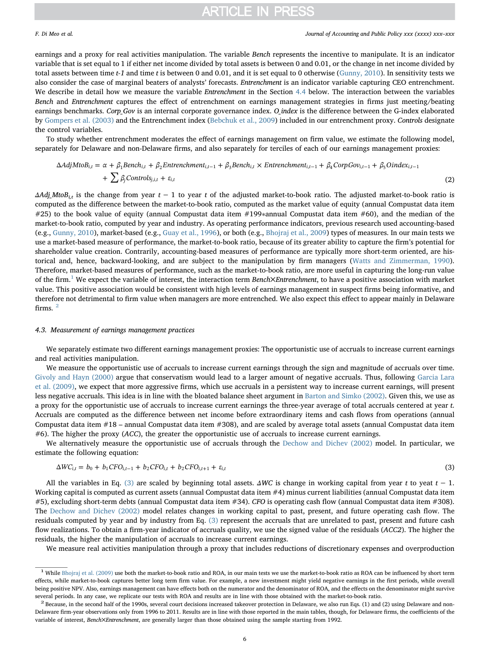### F. Di Meo et al. *Journal of Accounting and Public Policy xxx (xxxx) xxx–xxx*

earnings and a proxy for real activities manipulation. The variable Bench represents the incentive to manipulate. It is an indicator variable that is set equal to 1 if either net income divided by total assets is between 0 and 0.01, or the change in net income divided by total assets between time  $t-1$  and time t is between 0 and 0.01, and it is set equal to 0 otherwise [\(Gunny, 2010\)](#page-15-16). In sensitivity tests we also consider the case of marginal beaters of analysts' forecasts. Entrenchment is an indicator variable capturing CEO entrenchment. We describe in detail how we measure the variable *Entrenchment* in the Section [4.4](#page-6-0) below. The interaction between the variables Bench and Entrenchment captures the effect of entrenchment on earnings management strategies in firms just meeting/beating earnings benchmarks. Corp\_Gov is an internal corporate governance index. O\_index is the difference between the G-index elaborated by [Gompers et al. \(2003\)](#page-15-3) and the Entrenchment index ([Bebchuk et al., 2009\)](#page-14-10) included in our entrenchment proxy. Controls designate the control variables.

<span id="page-5-0"></span>To study whether entrenchment moderates the effect of earnings management on firm value, we estimate the following model, separately for Delaware and non-Delaware firms, and also separately for terciles of each of our earnings management proxies:

$$
\Delta AdjM toB_{i,t} = \alpha + \beta_1 Bench_{i,t} + \beta_2 Entrenchment_{i,t-1} + \beta_3 Bench_{i,t} \times Entrenchment_{i,t-1} + \beta_4 CorpGov_{i,t-1} + \beta_5 Oindex_{i,t-1} + \sum \beta_j Controls_{j,i,t} + \varepsilon_{i,t}
$$
\n(2)

 $\Delta Adj\_MtoB_{it}$  is the change from year  $t - 1$  to year t of the adjusted market-to-book ratio. The adjusted market-to-book ratio is computed as the difference between the market-to-book ratio, computed as the market value of equity (annual Compustat data item #25) to the book value of equity (annual Compustat data item #199∗annual Compustat data item #60), and the median of the market-to-book ratio, computed by year and industry. As operating performance indicators, previous research used accounting-based (e.g., [Gunny, 2010](#page-15-16)), market-based (e.g., [Guay et al., 1996\)](#page-15-14), or both (e.g., [Bhojraj et al., 2009\)](#page-14-3) types of measures. In our main tests we use a market-based measure of performance, the market-to-book ratio, because of its greater ability to capture the firm's potential for shareholder value creation. Contrarily, accounting-based measures of performance are typically more short-term oriented, are historical and, hence, backward-looking, and are subject to the manipulation by firm managers ([Watts and Zimmerman, 1990\)](#page-15-30). Therefore, market-based measures of performance, such as the market-to-book ratio, are more useful in capturing the long-run value of the firm.<sup>[1](#page-5-1)</sup> We expect the variable of interest, the interaction term Bench $\times$ Entrenchment, to have a positive association with market value. This positive association would be consistent with high levels of earnings management in suspect firms being informative, and therefore not detrimental to firm value when managers are more entrenched. We also expect this effect to appear mainly in Delaware firms. [2](#page-5-2)

### 4.3. Measurement of earnings management practices

We separately estimate two different earnings management proxies: The opportunistic use of accruals to increase current earnings and real activities manipulation.

We measure the opportunistic use of accruals to increase current earnings through the sign and magnitude of accruals over time. [Givoly and Hayn \(2000\)](#page-15-31) argue that conservatism would lead to a larger amount of negative accruals. Thus, following [Garcia Lara](#page-15-32) [et al. \(2009\),](#page-15-32) we expect that more aggressive firms, which use accruals in a persistent way to increase current earnings, will present less negative accruals. This idea is in line with the bloated balance sheet argument in [Barton and Simko \(2002\).](#page-14-8) Given this, we use as a proxy for the opportunistic use of accruals to increase current earnings the three-year average of total accruals centered at year t. Accruals are computed as the difference between net income before extraordinary items and cash flows from operations (annual Compustat data item #18 – annual Compustat data item #308), and are scaled by average total assets (annual Compustat data item #6). The higher the proxy (ACC), the greater the opportunistic use of accruals to increase current earnings.

<span id="page-5-3"></span>We alternatively measure the opportunistic use of accruals through the [Dechow and Dichev \(2002\)](#page-15-33) model. In particular, we estimate the following equation:

$$
\Delta WC_{i,t} = b_0 + b_1CFO_{i,t-1} + b_2CFO_{i,t} + b_2CFO_{i,t+1} + \varepsilon_{i,t}
$$
\n
$$
(3)
$$

All the variables in Eq. [\(3\)](#page-5-3) are scaled by beginning total assets.  $\Delta WC$  is change in working capital from year t to yeat t – 1. Working capital is computed as current assets (annual Compustat data item #4) minus current liabilities (annual Compustat data item #5), excluding short-term debts (annual Compustat data item #34). CFO is operating cash flow (annual Compustat data item #308). The [Dechow and Dichev \(2002\)](#page-15-33) model relates changes in working capital to past, present, and future operating cash flow. The residuals computed by year and by industry from Eq. [\(3\)](#page-5-3) represent the accruals that are unrelated to past, present and future cash flow realizations. To obtain a firm-year indicator of accruals quality, we use the signed value of the residuals (ACC2). The higher the residuals, the higher the manipulation of accruals to increase current earnings.

We measure real activities manipulation through a proxy that includes reductions of discretionary expenses and overproduction

<span id="page-5-1"></span><sup>&</sup>lt;sup>1</sup> While [Bhojraj et al. \(2009\)](#page-14-3) use both the market-to-book ratio and ROA, in our main tests we use the market-to-book ratio as ROA can be influenced by short term effects, while market-to-book captures better long term firm value. For example, a new investment might yield negative earnings in the first periods, while overall being positive NPV. Also, earnings management can have effects both on the numerator and the denominator of ROA, and the effects on the denominator might survive several periods. In any case, we replicate our tests with ROA and results are in line with those obtained with the market-to-book ratio.<br><sup>2</sup> Because, in the second half of the 1990s, several court decisions increased takeo

<span id="page-5-2"></span>Delaware firm-year observations only from 1996 to 2011. Results are in line with those reported in the main tables, though, for Delaware firms, the coefficients of the variable of interest, Bench×Entrenchment, are generally larger than those obtained using the sample starting from 1992.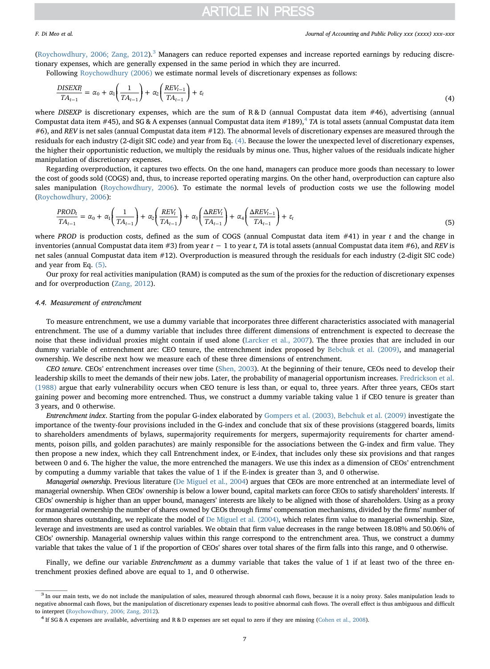([Roychowdhury, 2006; Zang, 2012\)](#page-15-23).[3](#page-6-1) Managers can reduce reported expenses and increase reported earnings by reducing discretionary expenses, which are generally expensed in the same period in which they are incurred.

<span id="page-6-3"></span>Following [Roychowdhury \(2006\)](#page-15-23) we estimate normal levels of discretionary expenses as follows:

$$
\frac{DISEXR_i}{TA_{t-1}} = \alpha_0 + \alpha_1 \left(\frac{1}{TA_{t-1}}\right) + \alpha_2 \left(\frac{REV_{t-1}}{TA_{t-1}}\right) + \varepsilon_t
$$
\n(4)

where DISEXP is discretionary expenses, which are the sum of  $R & D$  (annual Compustat data item #46), advertising (annual Compustat data item #[4](#page-6-2)5), and SG & A expenses (annual Compustat data item #189),<sup>4</sup> TA is total assets (annual Compustat data item #6), and REV is net sales (annual Compustat data item #12). The abnormal levels of discretionary expenses are measured through the residuals for each industry (2-digit SIC code) and year from Eq. [\(4\).](#page-6-3) Because the lower the unexpected level of discretionary expenses, the higher their opportunistic reduction, we multiply the residuals by minus one. Thus, higher values of the residuals indicate higher manipulation of discretionary expenses.

<span id="page-6-4"></span>Regarding overproduction, it captures two effects. On the one hand, managers can produce more goods than necessary to lower the cost of goods sold (COGS) and, thus, to increase reported operating margins. On the other hand, overproduction can capture also sales manipulation [\(Roychowdhury, 2006](#page-15-23)). To estimate the normal levels of production costs we use the following model ([Roychowdhury, 2006](#page-15-23)):

$$
\frac{PROD_t}{TA_{t-1}} = \alpha_0 + \alpha_1 \left(\frac{1}{TA_{t-1}}\right) + \alpha_2 \left(\frac{REV_t}{TA_{t-1}}\right) + \alpha_3 \left(\frac{\Delta REV_t}{TA_{t-1}}\right) + \alpha_4 \left(\frac{\Delta REV_{t-1}}{TA_{t-1}}\right) + \varepsilon_t
$$
\n(5)

where PROD is production costs, defined as the sum of COGS (annual Compustat data item  $#41$ ) in year t and the change in inventories (annual Compustat data item #3) from year  $t - 1$  to year t, TA is total assets (annual Compustat data item #6), and REV is net sales (annual Compustat data item #12). Overproduction is measured through the residuals for each industry (2-digit SIC code) and year from Eq. [\(5\).](#page-6-4)

Our proxy for real activities manipulation (RAM) is computed as the sum of the proxies for the reduction of discretionary expenses and for overproduction [\(Zang, 2012](#page-15-34)).

### <span id="page-6-0"></span>4.4. Measurement of entrenchment

To measure entrenchment, we use a dummy variable that incorporates three different characteristics associated with managerial entrenchment. The use of a dummy variable that includes three different dimensions of entrenchment is expected to decrease the noise that these individual proxies might contain if used alone [\(Larcker et al., 2007\)](#page-15-35). The three proxies that are included in our dummy variable of entrenchment are: CEO tenure, the entrenchment index proposed by [Bebchuk et al. \(2009\),](#page-14-10) and managerial ownership. We describe next how we measure each of these three dimensions of entrenchment.

CEO tenure. CEOs' entrenchment increases over time ([Shen, 2003\)](#page-15-36). At the beginning of their tenure, CEOs need to develop their leadership skills to meet the demands of their new jobs. Later, the probability of managerial opportunism increases. [Fredrickson et al.](#page-15-6) [\(1988\)](#page-15-6) argue that early vulnerability occurs when CEO tenure is less than, or equal to, three years. After three years, CEOs start gaining power and becoming more entrenched. Thus, we construct a dummy variable taking value 1 if CEO tenure is greater than 3 years, and 0 otherwise.

Entrenchment index. Starting from the popular G-index elaborated by [Gompers et al. \(2003\), Bebchuk et al. \(2009\)](#page-15-3) investigate the importance of the twenty-four provisions included in the G-index and conclude that six of these provisions (staggered boards, limits to shareholders amendments of bylaws, supermajority requirements for mergers, supermajority requirements for charter amendments, poison pills, and golden parachutes) are mainly responsible for the associations between the G-index and firm value. They then propose a new index, which they call Entrenchment index, or E-index, that includes only these six provisions and that ranges between 0 and 6. The higher the value, the more entrenched the managers. We use this index as a dimension of CEOs' entrenchment by computing a dummy variable that takes the value of 1 if the E-index is greater than 3, and 0 otherwise.

Managerial ownership. Previous literature ([De Miguel et al., 2004\)](#page-15-4) argues that CEOs are more entrenched at an intermediate level of managerial ownership. When CEOs' ownership is below a lower bound, capital markets can force CEOs to satisfy shareholders' interests. If CEOs' ownership is higher than an upper bound, managers' interests are likely to be aligned with those of shareholders. Using as a proxy for managerial ownership the number of shares owned by CEOs through firms' compensation mechanisms, divided by the firms' number of common shares outstanding, we replicate the model of [De Miguel et al. \(2004\),](#page-15-4) which relates firm value to managerial ownership. Size, leverage and investments are used as control variables. We obtain that firm value decreases in the range between 18.08% and 50.06% of CEOs' ownership. Managerial ownership values within this range correspond to the entrenchment area. Thus, we construct a dummy variable that takes the value of 1 if the proportion of CEOs' shares over total shares of the firm falls into this range, and 0 otherwise.

Finally, we define our variable *Entrenchment* as a dummy variable that takes the value of 1 if at least two of the three entrenchment proxies defined above are equal to 1, and 0 otherwise.

<span id="page-6-1"></span><sup>&</sup>lt;sup>3</sup> In our main tests, we do not include the manipulation of sales, measured through abnormal cash flows, because it is a noisy proxy. Sales manipulation leads to negative abnormal cash flows, but the manipulation of discretionary expenses leads to positive abnormal cash flows. The overall effect is thus ambiguous and difficult to interpret ([Roychowdhury, 2006; Zang, 2012](#page-15-23)). 4 If SG & A expenses are set equal to zero if they are missing ([Cohen et al., 2008](#page-14-7)).

<span id="page-6-2"></span>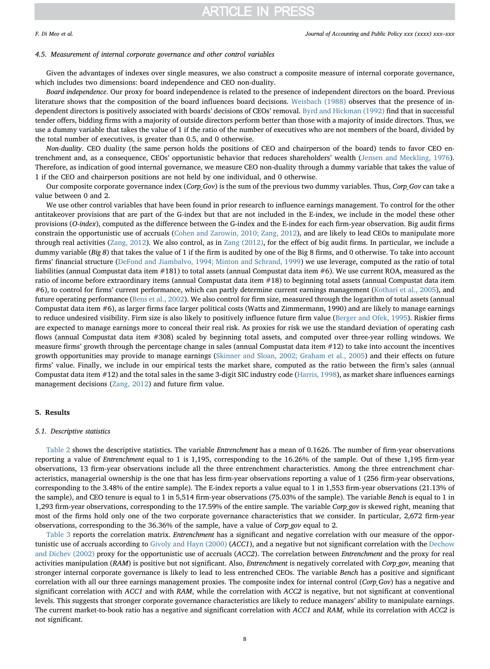### 4.5. Measurement of internal corporate governance and other control variables

Given the advantages of indexes over single measures, we also construct a composite measure of internal corporate governance, which includes two dimensions: board independence and CEO non-duality.

Board independence. Our proxy for board independence is related to the presence of independent directors on the board. Previous literature shows that the composition of the board influences board decisions. [Weisbach \(1988\)](#page-15-37) observes that the presence of independent directors is positively associated with boards' decisions of CEOs' removal. [Byrd and Hickman \(1992\)](#page-14-12) find that in successful tender offers, bidding firms with a majority of outside directors perform better than those with a majority of inside directors. Thus, we use a dummy variable that takes the value of 1 if the ratio of the number of executives who are not members of the board, divided by the total number of executives, is greater than 0.5, and 0 otherwise.

Non-duality. CEO duality (the same person holds the positions of CEO and chairperson of the board) tends to favor CEO entrenchment and, as a consequence, CEOs' opportunistic behavior that reduces shareholders' wealth ([Jensen and Meckling, 1976\)](#page-15-38). Therefore, as indication of good internal governance, we measure CEO non-duality through a dummy variable that takes the value of 1 if the CEO and chairperson positions are not held by one individual, and 0 otherwise.

Our composite corporate governance index (Corp\_Gov) is the sum of the previous two dummy variables. Thus, Corp\_Gov can take a value between 0 and 2.

We use other control variables that have been found in prior research to influence earnings management. To control for the other antitakeover provisions that are part of the G-index but that are not included in the E-index, we include in the model these other provisions (O-index), computed as the difference between the G-index and the E-index for each firm-year observation. Big audit firms constrain the opportunistic use of accruals ([Cohen and Zarowin, 2010; Zang, 2012\)](#page-14-9), and are likely to lead CEOs to manipulate more through real activities [\(Zang, 2012](#page-15-34)). We also control, as in [Zang \(2012\),](#page-15-34) for the effect of big audit firms. In particular, we include a dummy variable (Big 8) that takes the value of 1 if the firm is audited by one of the Big 8 firms, and 0 otherwise. To take into account firms' financial structure [\(DeFond and Jiambalvo, 1994; Minton and Schrand, 1999](#page-15-39)) we use leverage, computed as the ratio of total liabilities (annual Compustat data item #181) to total assets (annual Compustat data item #6). We use current ROA, measured as the ratio of income before extraordinary items (annual Compustat data item #18) to beginning total assets (annual Compustat data item #6), to control for firms' current performance, which can partly determine current earnings management ([Kothari et al., 2005\)](#page-15-40), and future operating performance [\(Bens et al., 2002\)](#page-14-13). We also control for firm size, measured through the logarithm of total assets (annual Compustat data item #6), as larger firms face larger political costs (Watts and Zimmermann, 1990) and are likely to manage earnings to reduce undesired visibility. Firm size is also likely to positively influence future firm value ([Berger and Ofek, 1995\)](#page-14-14). Riskier firms are expected to manage earnings more to conceal their real risk. As proxies for risk we use the standard deviation of operating cash flows (annual Compustat data item #308) scaled by beginning total assets, and computed over three-year rolling windows. We measure firms' growth through the percentage change in sales (annual Compustat data item #12) to take into account the incentives growth opportunities may provide to manage earnings [\(Skinner and Sloan, 2002; Graham et al., 2005](#page-15-41)) and their effects on future firms' value. Finally, we include in our empirical tests the market share, computed as the ratio between the firm's sales (annual Compustat data item #12) and the total sales in the same 3-digit SIC industry code [\(Harris, 1998](#page-15-42)), as market share influences earnings management decisions ([Zang, 2012](#page-15-34)) and future firm value.

## <span id="page-7-0"></span>5. Results

#### 5.1. Descriptive statistics

[Table 2](#page-8-0) shows the descriptive statistics. The variable Entrenchment has a mean of 0.1626. The number of firm-year observations reporting a value of Entrenchment equal to 1 is 1,195, corresponding to the 16.26% of the sample. Out of these 1,195 firm-year observations, 13 firm-year observations include all the three entrenchment characteristics. Among the three entrenchment characteristics, managerial ownership is the one that has less firm-year observations reporting a value of 1 (256 firm-year observations, corresponding to the 3.48% of the entire sample). The E-index reports a value equal to 1 in 1,553 firm-year observations (21.13% of the sample), and CEO tenure is equal to 1 in 5,514 firm-year observations (75.03% of the sample). The variable Bench is equal to 1 in 1,293 firm-year observations, corresponding to the 17.59% of the entire sample. The variable Corp\_gov is skewed right, meaning that most of the firms hold only one of the two corporate governance characteristics that we consider. In particular, 2,672 firm-year observations, corresponding to the 36.36% of the sample, have a value of Corp\_gov equal to 2.

[Table 3](#page-8-1) reports the correlation matrix. Entrenchment has a significant and negative correlation with our measure of the oppor-tunistic use of accruals according to [Givoly and Hayn \(2000\)](#page-15-31) (ACC1), and a negative but not significant correlation with the [Dechow](#page-15-33) [and Dichev \(2002\)](#page-15-33) proxy for the opportunistic use of accruals (ACC2). The correlation between Entrenchment and the proxy for real activities manipulation (RAM) is positive but not significant. Also, Entrenchment is negatively correlated with Corp\_gov, meaning that stronger internal corporate governance is likely to lead to less entrenched CEOs. The variable Bench has a positive and significant correlation with all our three earnings management proxies. The composite index for internal control (Corp Gov) has a negative and significant correlation with ACC1 and with RAM, while the correlation with ACC2 is negative, but not significant at conventional levels. This suggests that stronger corporate governance characteristics are likely to reduce managers' ability to manipulate earnings. The current market-to-book ratio has a negative and significant correlation with ACC1 and RAM, while its correlation with ACC2 is not significant.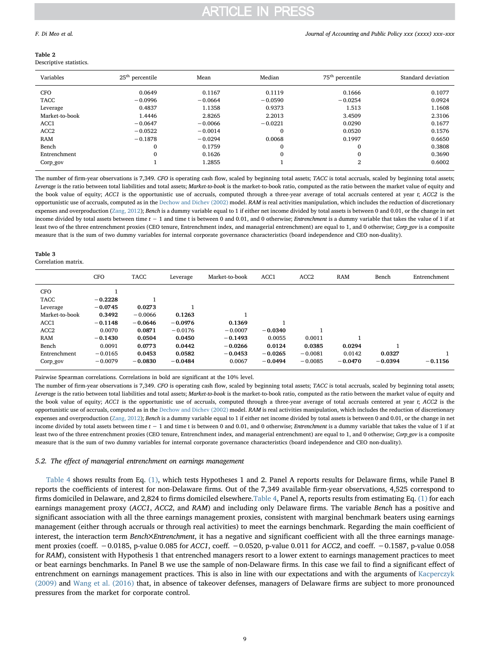## <span id="page-8-0"></span>Table 2

| Descriptive statistics. |  |
|-------------------------|--|
|-------------------------|--|

| Variables        | $25th$ percentile | Mean      | Median       | 75 <sup>th</sup> percentile | Standard deviation |
|------------------|-------------------|-----------|--------------|-----------------------------|--------------------|
| <b>CFO</b>       | 0.0649            | 0.1167    | 0.1119       | 0.1666                      | 0.1077             |
| TACC             | $-0.0996$         | $-0.0664$ | $-0.0590$    | $-0.0254$                   | 0.0924             |
| Leverage         | 0.4837            | 1.1358    | 0.9373       | 1.513                       | 1.1608             |
| Market-to-book   | 1.4446            | 2.8265    | 2.2013       | 3.4509                      | 2.3106             |
| ACC1             | $-0.0647$         | $-0.0066$ | $-0.0221$    | 0.0290                      | 0.1677             |
| ACC <sub>2</sub> | $-0.0522$         | $-0.0014$ | 0            | 0.0520                      | 0.1576             |
| RAM              | $-0.1878$         | $-0.0294$ | 0.0068       | 0.1997                      | 0.6650             |
| Bench            |                   | 0.1759    | $\mathbf{0}$ | $\mathbf{0}$                | 0.3808             |
| Entrenchment     |                   | 0.1626    | 0            | $\mathbf{0}$                | 0.3690             |
| Corp_gov         |                   | 1.2855    |              | $\overline{2}$              | 0.6002             |

The number of firm-year observations is 7,349. CFO is operating cash flow, scaled by beginning total assets; TACC is total accruals, scaled by beginning total assets; Leverage is the ratio between total liabilities and total assets; Market-to-book is the market-to-book ratio, computed as the ratio between the market value of equity and the book value of equity; ACC1 is the opportunistic use of accruals, computed through a three-year average of total accruals centered at year t; ACC2 is the opportunistic use of accruals, computed as in the [Dechow and Dichev \(2002\)](#page-15-33) model. RAM is real activities manipulation, which includes the reduction of discretionary expenses and overproduction ([Zang, 2012](#page-15-34)); Bench is a dummy variable equal to 1 if either net income divided by total assets is between 0 and 0.01, or the change in net income divided by total assets between time  $t - 1$  and time t is between 0 and 0.01, and 0 otherwise; Entrenchment is a dummy variable that takes the value of 1 if at least two of the three entrenchment proxies (CEO tenure, Entrenchment index, and managerial entrenchment) are equal to 1, and 0 otherwise; Corp\_gov is a composite measure that is the sum of two dummy variables for internal corporate governance characteristics (board independence and CEO non-duality).

#### <span id="page-8-1"></span>Table 3

Correlation matrix.

|                | <b>CFO</b> | <b>TACC</b> | Leverage  | Market-to-book | ACC1      | ACC <sub>2</sub> | <b>RAM</b> | Bench     | Entrenchment |
|----------------|------------|-------------|-----------|----------------|-----------|------------------|------------|-----------|--------------|
| <b>CFO</b>     |            |             |           |                |           |                  |            |           |              |
| TACC           | $-0.2228$  |             |           |                |           |                  |            |           |              |
| Leverage       | $-0.0745$  | 0.0273      |           |                |           |                  |            |           |              |
| Market-to-book | 0.3492     | $-0.0066$   | 0.1263    |                |           |                  |            |           |              |
| ACC1           | $-0.1148$  | $-0.0646$   | $-0.0976$ | 0.1369         |           |                  |            |           |              |
| ACC2           | 0.0070     | 0.0871      | $-0.0176$ | $-0.0007$      | $-0.0340$ |                  |            |           |              |
| RAM            | $-0.1430$  | 0.0504      | 0.0450    | $-0.1493$      | 0.0055    | 0.0011           |            |           |              |
| Bench          | 0.0091     | 0.0773      | 0.0442    | $-0.0266$      | 0.0124    | 0.0385           | 0.0294     |           |              |
| Entrenchment   | $-0.0165$  | 0.0453      | 0.0582    | $-0.0453$      | $-0.0265$ | $-0.0081$        | 0.0142     | 0.0327    |              |
| Corp_gov       | $-0.0079$  | $-0.0830$   | $-0.0484$ | 0.0067         | $-0.0494$ | $-0.0085$        | $-0.0470$  | $-0.0394$ | $-0.1156$    |

Pairwise Spearman correlations. Correlations in bold are significant at the 10% level.

The number of firm-year observations is 7,349. CFO is operating cash flow, scaled by beginning total assets; TACC is total accruals, scaled by beginning total assets; Leverage is the ratio between total liabilities and total assets; Market-to-book is the market-to-book ratio, computed as the ratio between the market value of equity and the book value of equity; ACC1 is the opportunistic use of accruals, computed through a three-year average of total accruals centered at year  $t$ ; ACC2 is the opportunistic use of accruals, computed as in the [Dechow and Dichev \(2002\)](#page-15-33) model. RAM is real activities manipulation, which includes the reduction of discretionary expenses and overproduction ([Zang, 2012](#page-15-34)); Bench is a dummy variable equal to 1 if either net income divided by total assets is between 0 and 0.01, or the change in net income divided by total assets between time  $t - 1$  and time t is between 0 and 0.01, and 0 otherwise; Entrenchment is a dummy variable that takes the value of 1 if at least two of the three entrenchment proxies (CEO tenure, Entrenchment index, and managerial entrenchment) are equal to 1, and 0 otherwise; Corp\_gov is a composite measure that is the sum of two dummy variables for internal corporate governance characteristics (board independence and CEO non-duality).

### 5.2. The effect of managerial entrenchment on earnings management

[Table 4](#page-9-0) shows results from Eq. [\(1\),](#page-4-2) which tests Hypotheses 1 and 2. Panel A reports results for Delaware firms, while Panel B reports the coefficients of interest for non-Delaware firms. Out of the 7,349 available firm-year observations, 4,525 correspond to firms domiciled in Delaware, and 2,824 to firms domiciled elsewhere.[Table 4,](#page-9-0) Panel A, reports results from estimating Eq. [\(1\)](#page-4-2) for each earnings management proxy (ACC1, ACC2, and RAM) and including only Delaware firms. The variable Bench has a positive and significant association with all the three earnings management proxies, consistent with marginal benchmark beaters using earnings management (either through accruals or through real activities) to meet the earnings benchmark. Regarding the main coefficient of interest, the interaction term Bench×Entrenchment, it has a negative and significant coefficient with all the three earnings management proxies (coeff. −0.0185, p-value 0.085 for ACC1, coeff. −0.0520, p-value 0.011 for ACC2, and coeff. −0.1587, p-value 0.058 for RAM), consistent with Hypothesis 1 that entrenched managers resort to a lower extent to earnings management practices to meet or beat earnings benchmarks. In Panel B we use the sample of non-Delaware firms. In this case we fail to find a significant effect of entrenchment on earnings management practices. This is also in line with our expectations and with the arguments of [Kacperczyk](#page-15-27) [\(2009\)](#page-15-27) and [Wang et al. \(2016\)](#page-15-28) that, in absence of takeover defenses, managers of Delaware firms are subject to more pronounced pressures from the market for corporate control.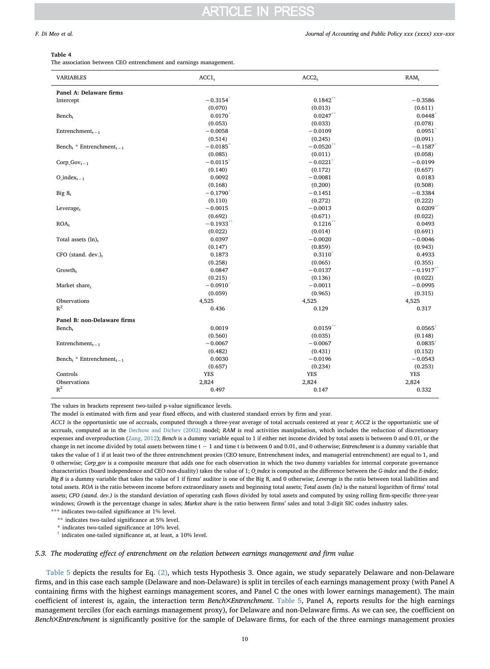#### <span id="page-9-0"></span>Table 4

The association between CEO entrenchment and earnings management.

| <b>VARIABLES</b>                                 | ACCI <sub>t</sub>      | ACC2 <sub>r</sub>      | RAM <sub>r</sub>      |
|--------------------------------------------------|------------------------|------------------------|-----------------------|
| Panel A: Delaware firms                          |                        |                        |                       |
| Intercept                                        | $-0.3154$ <sup>*</sup> | 0.1842                 | $-0.3586$             |
|                                                  | (0.070)                | (0.013)                | (0.611)               |
| Bench <sub>r</sub>                               | 0.0170                 | 0.0247                 | 0.0448                |
|                                                  | (0.053)                | (0.033)                | (0.078)               |
| Entrenchment <sub><math>r-1</math></sub>         | $-0.0058$              | $-0.0109$              | 0.0951                |
|                                                  | (0.514)                | (0.245)                | (0.091)               |
| Bench <sub>t</sub> * Entrenchment <sub>t-1</sub> | $-0.0185$              | $-0.0520$              | $-0.1587$             |
|                                                  | (0.085)                | (0.011)                | (0.058)               |
| $Corp_Gov_{t-1}$                                 | $-0.0115$ <sup>†</sup> | $-0.0221$ <sup>†</sup> | $-0.0199$             |
|                                                  | (0.140)                | (0.172)                | (0.657)               |
| $O_{.}index_{r-1}$                               | 0.0092                 | $-0.0081$              | 0.0183                |
|                                                  | (0.168)                | (0.200)                | (0.508)               |
| Big $8t$                                         | $-0.1790^{\dagger}$    | $-0.1451$              | $-0.3384$             |
|                                                  | (0.110)                | (0.272)                | (0.222)               |
| Leverage <sub>r</sub>                            | $-0.0015$              | $-0.0013$              | $0.0209$ <sup>*</sup> |
|                                                  | (0.692)                | (0.671)                | (0.022)               |
| ROA <sub>r</sub>                                 | $-0.1933$              | 0.1216                 | 0.0493                |
|                                                  | (0.022)                | (0.014)                | (0.691)               |
| Total assets $(ln)_r$                            | 0.0397                 | $-0.0020$              | $-0.0046$             |
|                                                  | (0.147)                | (0.859)                | (0.943)               |
| $CFO$ (stand. dev.) <sub>t</sub>                 | 0.1873                 | $0.3110^{*}$           | 0.4933                |
|                                                  | (0.258)                | (0.065)                | (0.355)               |
| Growth <sub>r</sub>                              | 0.0847                 | $-0.0137$              | $-0.1917$             |
|                                                  | (0.215)                | (0.136)                | (0.022)               |
| Market share <sub>r</sub>                        | $-0.0910$              | $-0.0011$              | $-0.0995$             |
|                                                  | (0.059)                | (0.965)                | (0.315)               |
| Observations                                     | 4,525                  | 4,525                  | 4,525                 |
| $R^2$                                            | 0.436                  | 0.129                  | 0.317                 |
|                                                  |                        |                        |                       |
| Panel B: non-Delaware firms                      |                        |                        |                       |
| Bench <sub>r</sub>                               | 0.0019                 | 0.0159                 | $0.0565$ <sup>†</sup> |
|                                                  | (0.560)                | (0.035)                | (0.148)               |
| Entrenchment <sub>r-1</sub>                      | $-0.0067$              | $-0.0067$              | $0.0835$ <sup>+</sup> |
|                                                  | (0.482)                | (0.431)                | (0.152)               |
| Bench <sub>t</sub> * Entrenchment <sub>t-1</sub> | 0.0030                 | $-0.0196$              | $-0.0543$             |
|                                                  | (0.657)                | (0.234)                | (0.253)               |
| Controls                                         | <b>YES</b>             | <b>YES</b>             | <b>YES</b>            |
| Observations                                     | 2,824                  | 2,824                  | 2,824                 |
| $R^2$                                            | 0.497                  | 0.147                  | 0.332                 |

The values in brackets represent two-tailed p-value significance levels.

The model is estimated with firm and year fixed effects, and with clustered standard errors by firm and year.

ACC1 is the opportunistic use of accruals, computed through a three-year average of total accruals centered at year t; ACC2 is the opportunistic use of accruals, computed as in the [Dechow and Dichev \(2002\)](#page-15-33) model; RAM is real activities manipulation, which includes the reduction of discretionary expenses and overproduction ([Zang, 2012](#page-15-34)); Bench is a dummy variable equal to 1 if either net income divided by total assets is between 0 and 0.01, or the change in net income divided by total assets between time  $t - 1$  and time t is between 0 and 0.01, and 0 otherwise; Entrenchment is a dummy variable that takes the value of 1 if at least two of the three entrenchment proxies (CEO tenure, Entrenchment index, and managerial entrenchment) are equal to 1, and 0 otherwise; Corp\_gov is a composite measure that adds one for each observation in which the two dummy variables for internal corporate governance characteristics (board independence and CEO non-duality) takes the value of 1; O index is computed as the difference between the G-index and the E-index; Big 8 is a dummy variable that takes the value of 1 if firms' auditor is one of the Big 8, and 0 otherwise; Leverage is the ratio between total liabilities and total assets. ROA is the ratio between income before extraordinary assets and beginning total assets; Total assets (ln) is the natural logarithm of firms' total assets; CFO (stand. dev.) is the standard deviation of operating cash flows divided by total assets and computed by using rolling firm-specific three-year windows; Growth is the percentage change in sales; Market share is the ratio between firms' sales and total 3-digit SIC codes industry sales.

\*\*\* indicates two-tailed significance at 1% level.

<span id="page-9-2"></span>\*\* indicates two-tailed significance at 5% level.

<span id="page-9-1"></span>\* indicates two-tailed significance at 10% level.

<span id="page-9-3"></span>† indicates one-tailed significance at, at least, a 10% level.

5.3. The moderating effect of entrenchment on the relation between earnings management and firm value

[Table 5](#page-10-0) depicts the results for Eq. [\(2\)](#page-5-0), which tests Hypothesis 3. Once again, we study separately Delaware and non-Delaware firms, and in this case each sample (Delaware and non-Delaware) is split in terciles of each earnings management proxy (with Panel A containing firms with the highest earnings management scores, and Panel C the ones with lower earnings management). The main coefficient of interest is, again, the interaction term Bench×Entrenchment. [Table 5](#page-10-0), Panel A, reports results for the high earnings management terciles (for each earnings management proxy), for Delaware and non-Delaware firms. As we can see, the coefficient on Bench×Entrenchment is significantly positive for the sample of Delaware firms, for each of the three earnings management proxies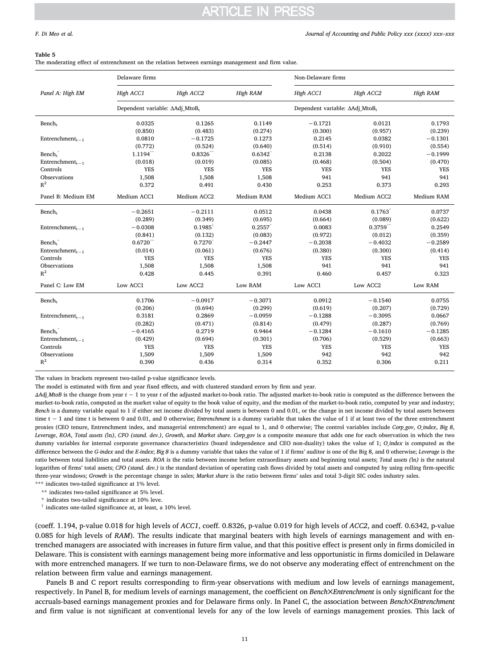#### <span id="page-10-0"></span>Table 5

The moderating effect of entrenchment on the relation between earnings management and firm value.

|                                          | Delaware firms                             |                    |            | Non-Delaware firms                         |             |            |
|------------------------------------------|--------------------------------------------|--------------------|------------|--------------------------------------------|-------------|------------|
| Panel A: High EM                         | High ACC1                                  | High ACC2          | High RAM   | High ACC1                                  | High ACC2   | High RAM   |
|                                          | Dependent variable: ΔAdj MtoB <sub>t</sub> |                    |            | Dependent variable: AAdj MtoB <sub>t</sub> |             |            |
| Bench <sub>r</sub>                       | 0.0325                                     | 0.1265             | 0.1149     | $-0.1721$                                  | 0.0121      | 0.1793     |
|                                          | (0.850)                                    | (0.483)            | (0.274)    | (0.300)                                    | (0.957)     | (0.239)    |
| Entrenchment <sub><math>r-1</math></sub> | 0.0810                                     | $-0.1725$          | 0.1273     | 0.2145                                     | 0.0382      | $-0.1301$  |
|                                          | (0.772)                                    | (0.524)            | (0.640)    | (0.514)                                    | (0.910)     | (0.554)    |
| Bench <sub>r</sub>                       | $1.1194$ <sup>*</sup>                      | 0.8326             | 0.6342     | 0.2138                                     | 0.2022      | $-0.1999$  |
| Entrenchment <sub><math>t-1</math></sub> | (0.018)                                    | (0.019)            | (0.085)    | (0.468)                                    | (0.504)     | (0.470)    |
| Controls                                 | <b>YES</b>                                 | <b>YES</b>         | <b>YES</b> | <b>YES</b>                                 | <b>YES</b>  | <b>YES</b> |
| Observations                             | 1,508                                      | 1,508              | 1,508      | 941                                        | 941         | 941        |
| $R^2$                                    | 0.372                                      | 0.491              | 0.430      | 0.253                                      | 0.373       | 0.293      |
| Panel B: Medium EM                       | Medium ACC1                                | Medium ACC2        | Medium RAM | Medium ACC1                                | Medium ACC2 | Medium RAM |
| Bench <sub>r</sub>                       | $-0.2651$                                  | $-0.2111$          | 0.0512     | 0.0438                                     | 0.1763      | 0.0737     |
|                                          | (0.289)                                    | (0.349)            | (0.695)    | (0.664)                                    | (0.089)     | (0.622)    |
| Entrenchment <sub><math>t-1</math></sub> | $-0.0308$                                  | $0.1985^{\dagger}$ | 0.2557     | 0.0083                                     | $0.3759$ ** | 0.2549     |
|                                          | (0.841)                                    | (0.132)            | (0.083)    | (0.972)                                    | (0.012)     | (0.359)    |
| Bench <sub>r</sub>                       | 0.6720                                     | 0.7270             | $-0.2447$  | $-0.2038$                                  | $-0.4032$   | $-0.2589$  |
| Entrenchment <sub><math>-1</math></sub>  | (0.014)                                    | (0.061)            | (0.676)    | (0.380)                                    | (0.300)     | (0.414)    |
| Controls                                 | <b>YES</b>                                 | <b>YES</b>         | <b>YES</b> | <b>YES</b>                                 | <b>YES</b>  | <b>YES</b> |
| Observations                             | 1,508                                      | 1,508              | 1,508      | 941                                        | 941         | 941        |
| $R^2$                                    | 0.428                                      | 0.445              | 0.391      | 0.460                                      | 0.457       | 0.323      |
| Panel C: Low EM                          | Low ACC1                                   | Low ACC2           | Low RAM    | Low ACC1                                   | Low ACC2    | Low RAM    |
| Bench <sub>r</sub>                       | 0.1706                                     | $-0.0917$          | $-0.3071$  | 0.0912                                     | $-0.1540$   | 0.0755     |
|                                          | (0.206)                                    | (0.694)            | (0.299)    | (0.619)                                    | (0.207)     | (0.729)    |
| Entrenchment <sub><math>t-1</math></sub> | 0.3181                                     | 0.2869             | $-0.0959$  | $-0.1288$                                  | $-0.3095$   | 0.0667     |
|                                          | (0.282)                                    | (0.471)            | (0.814)    | (0.479)                                    | (0.287)     | (0.769)    |
| Bench,                                   | $-0.4165$                                  | 0.2719             | 0.9464     | $-0.1284$                                  | $-0.1610$   | $-0.1285$  |
| Entrenchment <sub><math>-1</math></sub>  | (0.429)                                    | (0.694)            | (0.301)    | (0.706)                                    | (0.529)     | (0.663)    |
| Controls                                 | <b>YES</b>                                 | <b>YES</b>         | <b>YES</b> | <b>YES</b>                                 | <b>YES</b>  | <b>YES</b> |
| Observations                             | 1,509                                      | 1,509              | 1,509      | 942                                        | 942         | 942        |
| $R^2$                                    | 0.390                                      | 0.436              | 0.314      | 0.352                                      | 0.306       | 0.211      |
|                                          |                                            |                    |            |                                            |             |            |

The values in brackets represent two-tailed p-value significance levels.

The model is estimated with firm and year fixed effects, and with clustered standard errors by firm and year.

ΔAdj\_MtoB is the change from year t − 1 to year t of the adjusted market-to-book ratio. The adjusted market-to-book ratio is computed as the difference between the market-to-book ratio, computed as the market value of equity to the book value of equity, and the median of the market-to-book ratio, computed by year and industry; Bench is a dummy variable equal to 1 if either net income divided by total assets is between 0 and 0.01, or the change in net income divided by total assets between time t − 1 and time t is between 0 and 0.01, and 0 otherwise; Entrenchment is a dummy variable that takes the value of 1 if at least two of the three entrenchment proxies (CEO tenure, Entrenchment index, and managerial entrenchment) are equal to 1, and 0 otherwise; The control variables include Corp\_gov, O\_index, Big 8, Leverage, ROA, Total assets (ln), CFO (stand. dev.), Growth, and Market share. Corp\_gov is a composite measure that adds one for each observation in which the two dummy variables for internal corporate governance characteristics (board independence and CEO non-duality) takes the value of 1; O\_index is computed as the difference between the G-index and the E-index; Big 8 is a dummy variable that takes the value of 1 if firms' auditor is one of the Big 8, and 0 otherwise; Leverage is the ratio between total liabilities and total assets. ROA is the ratio between income before extraordinary assets and beginning total assets; Total assets (ln) is the natural logarithm of firms' total assets; CFO (stand. dev.) is the standard deviation of operating cash flows divided by total assets and computed by using rolling firm-specific three-year windows; Growth is the percentage change in sales; Market share is the ratio between firms' sales and total 3-digit SIC codes industry sales.

\*\*\* indicates two-tailed significance at 1% level.

<span id="page-10-2"></span>\*\* indicates two-tailed significance at 5% level. \* indicates two-tailed significance at 10% leve.

<span id="page-10-1"></span>

<span id="page-10-3"></span>† indicates one-tailed significance at, at least, a 10% level.

(coeff. 1.194, p-value 0.018 for high levels of ACC1, coeff. 0.8326, p-value 0.019 for high levels of ACC2, and coeff. 0.6342, p-value 0.085 for high levels of RAM). The results indicate that marginal beaters with high levels of earnings management and with entrenched managers are associated with increases in future firm value, and that this positive effect is present only in firms domiciled in Delaware. This is consistent with earnings management being more informative and less opportunistic in firms domiciled in Delaware with more entrenched managers. If we turn to non-Delaware firms, we do not observe any moderating effect of entrenchment on the relation between firm value and earnings management.

Panels B and C report results corresponding to firm-year observations with medium and low levels of earnings management, respectively. In Panel B, for medium levels of earnings management, the coefficient on Bench×Entrenchment is only significant for the accruals-based earnings management proxies and for Delaware firms only. In Panel C, the association between Bench×Entrenchment and firm value is not significant at conventional levels for any of the low levels of earnings management proxies. This lack of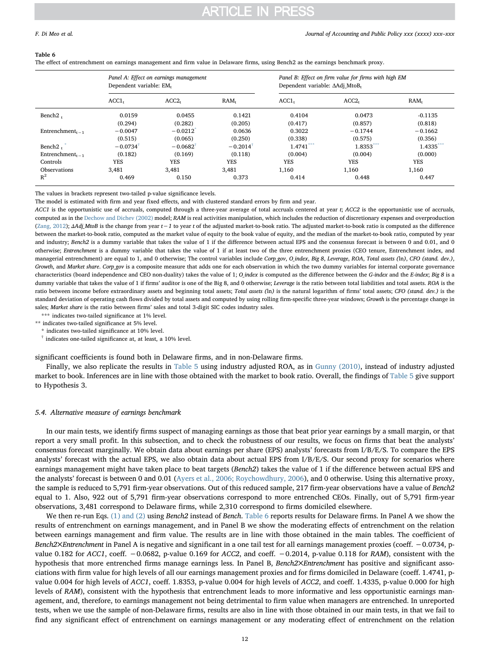#### <span id="page-11-0"></span>Table 6

The effect of entrenchment on earnings management and firm value in Delaware firms, using Bench2 as the earnings benchmark proxy.

|                                          | Panel A: Effect on earnings management<br>Dependent variable: EM, |                        |                  | Panel B: Effect on firm value for firms with high EM<br>Dependent variable: AAdj MtoB, |                   |                  |  |
|------------------------------------------|-------------------------------------------------------------------|------------------------|------------------|----------------------------------------------------------------------------------------|-------------------|------------------|--|
|                                          | ACCI <sub>t</sub>                                                 | ACC2 <sub>r</sub>      | RAM <sub>t</sub> | ACC1 <sub>t</sub>                                                                      | ACC2 <sub>t</sub> | RAM <sub>r</sub> |  |
| Bench $21$                               | 0.0159                                                            | 0.0455                 | 0.1421           | 0.4104                                                                                 | 0.0473            | $-0.1135$        |  |
|                                          | (0.294)                                                           | (0.282)                | (0.205)          | (0.417)                                                                                | (0.857)           | (0.818)          |  |
| Entrenchment <sub><math>t-1</math></sub> | $-0.0047$                                                         | $-0.0212$              | 0.0636           | 0.3022                                                                                 | $-0.1744$         | $-0.1662$        |  |
|                                          | (0.515)                                                           | (0.065)                | (0.250)          | (0.338)                                                                                | (0.575)           | (0.356)          |  |
| Bench <sub>2</sub>                       | $-0.0734$                                                         | $-0.0682$ <sup>†</sup> | $-0.2014$        | ***<br>1.4741                                                                          | 1.8353***         | 1.4335           |  |
| Entrenchment <sub><math>t-1</math></sub> | (0.182)                                                           | (0.169)                | (0.118)          | (0.004)                                                                                | (0.004)           | (0.000)          |  |
| Controls                                 | <b>YES</b>                                                        | <b>YES</b>             | <b>YES</b>       | <b>YES</b>                                                                             | <b>YES</b>        | <b>YES</b>       |  |
| Observations                             | 3.481                                                             | 3,481                  | 3,481            | 1,160                                                                                  | 1,160             | 1,160            |  |
| $R^2$                                    | 0.469                                                             | 0.150                  | 0.373            | 0.414                                                                                  | 0.448             | 0.447            |  |

The values in brackets represent two-tailed p-value significance levels.

The model is estimated with firm and year fixed effects, and with clustered standard errors by firm and year.

ACC1 is the opportunistic use of accruals, computed through a three-year average of total accruals centered at year t; ACC2 is the opportunistic use of accruals, computed as in the [Dechow and Dichev \(2002\)](#page-15-33) model; RAM is real activities manipulation, which includes the reduction of discretionary expenses and overproduction [\(Zang, 2012](#page-15-34)); ΔAdj\_MtoB is the change from year t−1 to year t of the adjusted market-to-book ratio. The adjusted market-to-book ratio is computed as the difference between the market-to-book ratio, computed as the market value of equity to the book value of equity, and the median of the market-to-book ratio, computed by year and industry; Bench2 is a dummy variable that takes the value of 1 if the difference between actual EPS and the consensus forecast is between 0 and 0.01, and 0 otherwise; Entrenchment is a dummy variable that takes the value of 1 if at least two of the three entrenchment proxies (CEO tenure, Entrenchment index, and managerial entrenchment) are equal to 1, and 0 otherwise; The control variables include Corp\_gov, O\_index, Big 8, Leverage, ROA, Total assets (ln), CFO (stand. dev.), Growth, and Market share. Corp\_gov is a composite measure that adds one for each observation in which the two dummy variables for internal corporate governance characteristics (board independence and CEO non-duality) takes the value of 1; O\_index is computed as the difference between the G-index and the E-index; Big 8 is a dummy variable that takes the value of 1 if firms' auditor is one of the Big 8, and 0 otherwise; Leverage is the ratio between total liabilities and total assets. ROA is the ratio between income before extraordinary assets and beginning total assets; Total assets (ln) is the natural logarithm of firms' total assets; CFO (stand. dev.) is the standard deviation of operating cash flows divided by total assets and computed by using rolling firm-specific three-year windows; Growth is the percentage change in sales; Market share is the ratio between firms' sales and total 3-digit SIC codes industry sales.

<span id="page-11-3"></span>\*\*\* indicates two-tailed significance at 1% level.

<span id="page-11-1"></span>\*\* indicates two-tailed significance at 5% level.

\* indicates two-tailed significance at 10% level.

<span id="page-11-2"></span>† indicates one-tailed significance at, at least, a 10% level.

significant coefficients is found both in Delaware firms, and in non-Delaware firms.

Finally, we also replicate the results in [Table 5](#page-10-0) using industry adjusted ROA, as in [Gunny \(2010\),](#page-15-16) instead of industry adjusted market to book. Inferences are in line with those obtained with the market to book ratio. Overall, the findings of [Table 5](#page-10-0) give support to Hypothesis 3.

### 5.4. Alternative measure of earnings benchmark

In our main tests, we identify firms suspect of managing earnings as those that beat prior year earnings by a small margin, or that report a very small profit. In this subsection, and to check the robustness of our results, we focus on firms that beat the analysts' consensus forecast marginally. We obtain data about earnings per share (EPS) analysts' forecasts from I/B/E/S. To compare the EPS analysts' forecast with the actual EPS, we also obtain data about actual EPS from I/B/E/S. Our second proxy for scenarios where earnings management might have taken place to beat targets (Bench2) takes the value of 1 if the difference between actual EPS and the analysts' forecast is between 0 and 0.01 [\(Ayers et al., 2006; Roychowdhury, 2006\)](#page-14-15), and 0 otherwise. Using this alternative proxy, the sample is reduced to 5,791 firm-year observations. Out of this reduced sample, 217 firm-year observations have a value of Bench2 equal to 1. Also, 922 out of 5,791 firm-year observations correspond to more entrenched CEOs. Finally, out of 5,791 firm-year observations, 3,481 correspond to Delaware firms, while 2,310 correspond to firms domiciled elsewhere.

We then re-run Eqs. [\(1\) and \(2\)](#page-4-2) using Bench2 instead of Bench. [Table 6](#page-11-0) reports results for Delaware firms. In Panel A we show the results of entrenchment on earnings management, and in Panel B we show the moderating effects of entrenchment on the relation between earnings management and firm value. The results are in line with those obtained in the main tables. The coefficient of Bench2×Entrenchment in Panel A is negative and significant in a one tail test for all earnings management proxies (coeff. −0.0734, pvalue 0.182 for ACC1, coeff. −0.0682, p-value 0.169 for ACC2, and coeff. −0.2014, p-value 0.118 for RAM), consistent with the hypothesis that more entrenched firms manage earnings less. In Panel B, Bench2 Entrenchment has positive and significant associations with firm value for high levels of all our earnings management proxies and for firms domiciled in Delaware (coeff. 1.4741, pvalue 0.004 for high levels of ACC1, coeff. 1.8353, p-value 0.004 for high levels of ACC2, and coeff. 1.4335, p-value 0.000 for high levels of RAM), consistent with the hypothesis that entrenchment leads to more informative and less opportunistic earnings management, and, therefore, to earnings management not being detrimental to firm value when managers are entrenched. In unreported tests, when we use the sample of non-Delaware firms, results are also in line with those obtained in our main tests, in that we fail to find any significant effect of entrenchment on earnings management or any moderating effect of entrenchment on the relation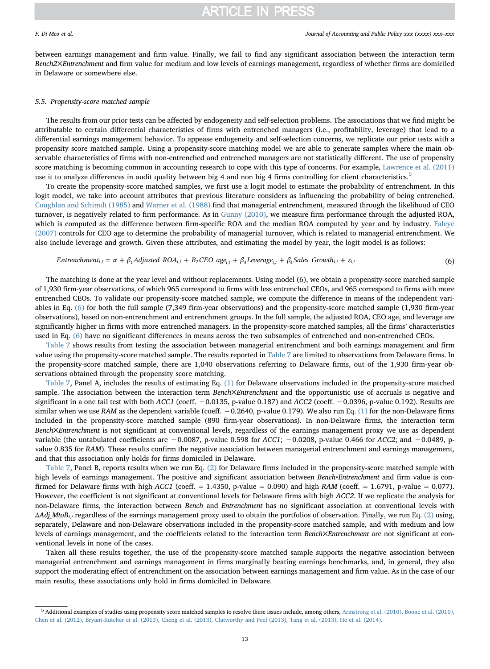between earnings management and firm value. Finally, we fail to find any significant association between the interaction term Bench2✕Entrenchment and firm value for medium and low levels of earnings management, regardless of whether firms are domiciled in Delaware or somewhere else.

### 5.5. Propensity-score matched sample

The results from our prior tests can be affected by endogeneity and self-selection problems. The associations that we find might be attributable to certain differential characteristics of firms with entrenched managers (i.e., profitability, leverage) that lead to a differential earnings management behavior. To appease endogeneity and self-selection concerns, we replicate our prior tests with a propensity score matched sample. Using a propensity-score matching model we are able to generate samples where the main observable characteristics of firms with non-entrenched and entrenched managers are not statistically different. The use of propensity score matching is becoming common in accounting research to cope with this type of concerns. For example, [Lawrence et al. \(2011\)](#page-15-43) use it to analyze differences in audit quality between big 4 and non big 4 firms controlling for client characteristics.<sup>[5](#page-12-0)</sup>

To create the propensity-score matched samples, we first use a logit model to estimate the probability of entrenchment. In this logit model, we take into account attributes that previous literature considers as influencing the probability of being entrenched. [Coughlan and Schimdt \(1985\)](#page-14-16) and [Warner et al. \(1988\)](#page-15-44) find that managerial entrenchment, measured through the likelihood of CEO turnover, is negatively related to firm performance. As in [Gunny \(2010\),](#page-15-16) we measure firm performance through the adjusted ROA, which is computed as the difference between firm-specific ROA and the median ROA computed by year and by industry. [Faleye](#page-15-45) [\(2007\)](#page-15-45) controls for CEO age to determine the probability of managerial turnover, which is related to managerial entrenchment. We also include leverage and growth. Given these attributes, and estimating the model by year, the logit model is as follows:

<span id="page-12-1"></span>*Entrenchment*<sub>i,t</sub> = 
$$
\alpha + \beta_1 \text{ adjusted } ROA_{i,t} + B_2 CEO \text{ age}_{i,t} + \beta_3 \text{Leverage}_{i,t} + \beta_4 \text{Sales Growth}_{i,t} + \varepsilon_{i,t}
$$
 (6)

The matching is done at the year level and without replacements. Using model (6), we obtain a propensity-score matched sample of 1,930 firm-year observations, of which 965 correspond to firms with less entrenched CEOs, and 965 correspond to firms with more entrenched CEOs. To validate our propensity-score matched sample, we compute the difference in means of the independent variables in Eq. [\(6\)](#page-12-1) for both the full sample (7,349 firm-year observations) and the propensity-score matched sample (1,930 firm-year observations), based on non-entrenchment and entrenchment groups. In the full sample, the adjusted ROA, CEO age, and leverage are significantly higher in firms with more entrenched managers. In the propensity-score matched samples, all the firms' characteristics used in Eq. [\(6\)](#page-12-1) have no significant differences in means across the two subsamples of entrenched and non-entrenched CEOs.

[Table 7](#page-13-1) shows results from testing the association between managerial entrenchment and both earnings management and firm value using the propensity-score matched sample. The results reported in [Table 7](#page-13-1) are limited to observations from Delaware firms. In the propensity-score matched sample, there are 1,040 observations referring to Delaware firms, out of the 1,930 firm-year observations obtained through the propensity score matching.

[Table 7](#page-13-1), Panel A, includes the results of estimating Eq. [\(1\)](#page-4-2) for Delaware observations included in the propensity-score matched sample. The association between the interaction term Bench×Entrenchment and the opportunistic use of accruals is negative and significant in a one tail test with both ACC1 (coeff. -0.0135, p-value 0.187) and ACC2 (coeff. -0.0396, p-value 0.192). Results are similar when we use RAM as the dependent variable (coeff. -0.2640, p-value 0.179). We also run Eq. [\(1\)](#page-4-2) for the non-Delaware firms included in the propensity-score matched sample (890 firm-year observations). In non-Delaware firms, the interaction term Bench×Entrenchment is not significant at conventional levels, regardless of the earnings management proxy we use as dependent variable (the untabulated coefficients are −0.0087, p-value 0.598 for ACC1; −0.0208, p-value 0.466 for ACC2; and −0.0489, pvalue 0.835 for RAM). These results confirm the negative association between managerial entrenchment and earnings management, and that this association only holds for firms domiciled in Delaware.

[Table 7](#page-13-1), Panel B, reports results when we run Eq. [\(2\)](#page-5-0) for Delaware firms included in the propensity-score matched sample with high levels of earnings management. The positive and significant association between Bench∗Entrenchment and firm value is confirmed for Delaware firms with high ACC1 (coeff.  $= 1.4350$ , p-value  $= 0.090$ ) and high RAM (coeff.  $= 1.6791$ , p-value  $= 0.077$ ). However, the coefficient is not significant at conventional levels for Delaware firms with high ACC2. If we replicate the analysis for non-Delaware firms, the interaction between Bench and Entrenchment has no significant association at conventional levels with  $\Delta Adj\_MtoB_{i,t}$  regardless of the earnings management proxy used to obtain the portfolios of observation. Finally, we run Eq. [\(2\)](#page-5-0) using, separately, Delaware and non-Delaware observations included in the propensity-score matched sample, and with medium and low levels of earnings management, and the coefficients related to the interaction term Bench×Entrenchment are not significant at conventional levels in none of the cases.

Taken all these results together, the use of the propensity-score matched sample supports the negative association between managerial entrenchment and earnings management in firms marginally beating earnings benchmarks, and, in general, they also support the moderating effect of entrenchment on the association between earnings management and firm value. As in the case of our main results, these associations only hold in firms domiciled in Delaware.

<span id="page-12-0"></span><sup>5</sup> Additional examples of studies using propensity score matched samples to resolve these issues include, among others, [Armstrong et al. \(2010\), Boone et al. \(2010\),](#page-14-17) [Chen et al. \(2012\), Bryant-Kutcher et al. \(2013\), Cheng et al. \(2013\), Clatworthy and Peel \(2013\), Tang et al. \(2013\), He et al. \(2014\).](#page-14-17)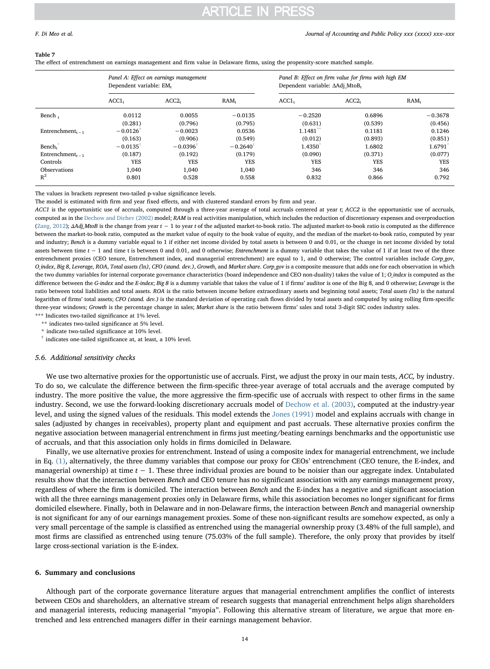#### <span id="page-13-1"></span>Table 7

The effect of entrenchment on earnings management and firm value in Delaware firms, using the propensity-score matched sample.

|                                          | Panel A: Effect on earnings management<br>Dependent variable: EM. |                        |                  | Panel B: Effect on firm value for firms with high EM<br>Dependent variable: AAdj MtoB, |                   |                  |
|------------------------------------------|-------------------------------------------------------------------|------------------------|------------------|----------------------------------------------------------------------------------------|-------------------|------------------|
|                                          | ACCI <sub>t</sub>                                                 | ACC2 <sub>r</sub>      | RAM <sub>t</sub> | ACC1 <sub>t</sub>                                                                      | ACC2 <sub>r</sub> | RAM <sub>t</sub> |
| Bench,                                   | 0.0112                                                            | 0.0055                 | $-0.0135$        | $-0.2520$                                                                              | 0.6896            | $-0.3678$        |
|                                          | (0.281)                                                           | (0.796)                | (0.795)          | (0.631)                                                                                | (0.539)           | (0.456)          |
| Entrenchment <sub><math>r-1</math></sub> | $-0.0126$ <sup>†</sup>                                            | $-0.0023$              | 0.0536           | $1.1481**$                                                                             | 0.1181            | 0.1246           |
|                                          | (0.163)                                                           | (0.906)                | (0.549)          | (0.012)                                                                                | (0.893)           | (0.851)          |
| Bench <sub>r</sub>                       | $-0.0135$ <sup>†</sup>                                            | $-0.0396$ <sup>†</sup> | $-0.2640$        | 1.4350                                                                                 | 1.6802            | 1.6791           |
| Entrenchment <sub><math>t-1</math></sub> | (0.187)                                                           | (0.192)                | (0.179)          | (0.090)                                                                                | (0.371)           | (0.077)          |
| Controls                                 | <b>YES</b>                                                        | <b>YES</b>             | <b>YES</b>       | <b>YES</b>                                                                             | <b>YES</b>        | <b>YES</b>       |
| <b>Observations</b>                      | 1,040                                                             | 1.040                  | 1.040            | 346                                                                                    | 346               | 346              |
| $R^2$                                    | 0.801                                                             | 0.528                  | 0.558            | 0.832                                                                                  | 0.866             | 0.792            |

The values in brackets represent two-tailed p-value significance levels.

The model is estimated with firm and year fixed effects, and with clustered standard errors by firm and year.

ACC1 is the opportunistic use of accruals, computed through a three-year average of total accruals centered at year t; ACC2 is the opportunistic use of accruals, computed as in the [Dechow and Dichev \(2002\)](#page-15-33) model; RAM is real activities manipulation, which includes the reduction of discretionary expenses and overproduction  $(Zang, 2012)$  $(Zang, 2012)$ ; ΔAdj MtoB is the change from year t  $-1$  to year t of the adjusted market-to-book ratio. The adjusted market-to-book ratio is computed as the difference between the market-to-book ratio, computed as the market value of equity to the book value of equity, and the median of the market-to-book ratio, computed by year and industry; Bench is a dummy variable equal to 1 if either net income divided by total assets is between 0 and 0.01, or the change in net income divided by total assets between time  $t - 1$  and time t is between 0 and 0.01, and 0 otherwise; *Entrenchment* is a dummy variable that takes the value of 1 if at least two of the three entrenchment proxies (CEO tenure, Entrenchment index, and managerial entrenchment) are equal to 1, and 0 otherwise; The control variables include Corp\_gov, O\_index, Big 8, Leverage, ROA, Total assets (ln), CFO (stand. dev.), Growth, and Market share. Corp\_gov is a composite measure that adds one for each observation in which the two dummy variables for internal corporate governance characteristics (board independence and CEO non-duality) takes the value of 1; O\_index is computed as the difference between the G-index and the E-index; Big 8 is a dummy variable that takes the value of 1 if firms' auditor is one of the Big 8, and 0 otherwise; Leverage is the ratio between total liabilities and total assets. ROA is the ratio between income before extraordinary assets and beginning total assets; Total assets (In) is the natural logarithm of firms' total assets; CFO (stand. dev.) is the standard deviation of operating cash flows divided by total assets and computed by using rolling firm-specific three-year windows; Growth is the percentage change in sales; Market share is the ratio between firms' sales and total 3-digit SIC codes industry sales. \*\*\* Indicates two-tailed significance at 1% level.

<span id="page-13-3"></span>\*\* indicates two-tailed significance at 5% level.

<span id="page-13-4"></span>\* indicate two-tailed significance at 10% level.

<span id="page-13-2"></span>† indicates one-tailed significance at, at least, a 10% level.

### 5.6. Additional sensitivity checks

We use two alternative proxies for the opportunistic use of accruals. First, we adjust the proxy in our main tests, ACC, by industry. To do so, we calculate the difference between the firm-specific three-year average of total accruals and the average computed by industry. The more positive the value, the more aggressive the firm-specific use of accruals with respect to other firms in the same industry. Second, we use the forward-looking discretionary accruals model of [Dechow et al. \(2003\),](#page-15-46) computed at the industry-year level, and using the signed values of the residuals. This model extends the [Jones \(1991\)](#page-15-17) model and explains accruals with change in sales (adjusted by changes in receivables), property plant and equipment and past accruals. These alternative proxies confirm the negative association between managerial entrenchment in firms just meeting/beating earnings benchmarks and the opportunistic use of accruals, and that this association only holds in firms domiciled in Delaware.

Finally, we use alternative proxies for entrenchment. Instead of using a composite index for managerial entrenchment, we include in Eq. [\(1\),](#page-4-2) alternatively, the three dummy variables that compose our proxy for CEOs' entrenchment (CEO tenure, the E-index, and managerial ownership) at time  $t - 1$ . These three individual proxies are bound to be noisier than our aggregate index. Untabulated results show that the interaction between Bench and CEO tenure has no significant association with any earnings management proxy, regardless of where the firm is domiciled. The interaction between Bench and the E-index has a negative and significant association with all the three earnings management proxies only in Delaware firms, while this association becomes no longer significant for firms domiciled elsewhere. Finally, both in Delaware and in non-Delaware firms, the interaction between Bench and managerial ownership is not significant for any of our earnings management proxies. Some of these non-significant results are somehow expected, as only a very small percentage of the sample is classified as entrenched using the managerial ownership proxy (3.48% of the full sample), and most firms are classified as entrenched using tenure (75.03% of the full sample). Therefore, the only proxy that provides by itself large cross-sectional variation is the E-index.

### <span id="page-13-0"></span>6. Summary and conclusions

Although part of the corporate governance literature argues that managerial entrenchment amplifies the conflict of interests between CEOs and shareholders, an alternative stream of research suggests that managerial entrenchment helps align shareholders and managerial interests, reducing managerial "myopia". Following this alternative stream of literature, we argue that more entrenched and less entrenched managers differ in their earnings management behavior.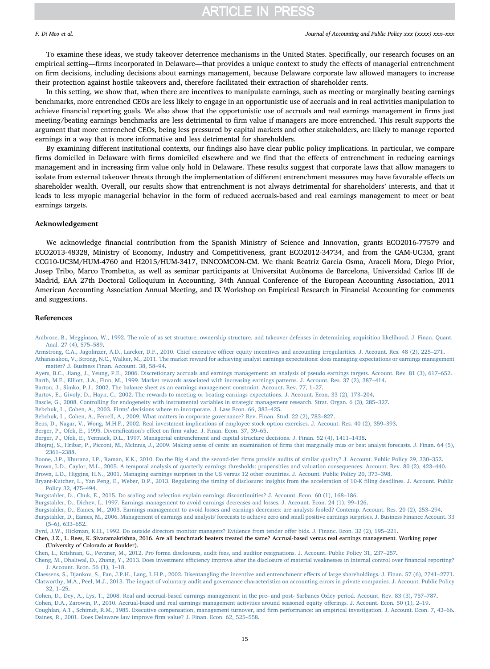#### F. Di Meo et al. *Journal of Accounting and Public Policy xxx (xxxx) xxx–xxx*

To examine these ideas, we study takeover deterrence mechanisms in the United States. Specifically, our research focuses on an empirical setting—firms incorporated in Delaware—that provides a unique context to study the effects of managerial entrenchment on firm decisions, including decisions about earnings management, because Delaware corporate law allowed managers to increase their protection against hostile takeovers and, therefore facilitated their extraction of shareholder rents.

In this setting, we show that, when there are incentives to manipulate earnings, such as meeting or marginally beating earnings benchmarks, more entrenched CEOs are less likely to engage in an opportunistic use of accruals and in real activities manipulation to achieve financial reporting goals. We also show that the opportunistic use of accruals and real earnings management in firms just meeting/beating earnings benchmarks are less detrimental to firm value if managers are more entrenched. This result supports the argument that more entrenched CEOs, being less pressured by capital markets and other stakeholders, are likely to manage reported earnings in a way that is more informative and less detrimental for shareholders.

By examining different institutional contexts, our findings also have clear public policy implications. In particular, we compare firms domiciled in Delaware with firms domiciled elsewhere and we find that the effects of entrenchment in reducing earnings management and in increasing firm value only hold in Delaware. These results suggest that corporate laws that allow managers to isolate from external takeover threats through the implementation of different entrenchment measures may have favorable effects on shareholder wealth. Overall, our results show that entrenchment is not always detrimental for shareholders' interests, and that it leads to less myopic managerial behavior in the form of reduced accruals-based and real earnings management to meet or beat earnings targets.

### Acknowledgement

We acknowledge financial contribution from the Spanish Ministry of Science and Innovation, grants ECO2016-77579 and ECO2013-48328, Ministry of Economy, Industry and Competitiveness, grant ECO2012-34734, and from the CAM-UC3M, grant CCG10-UC3M/HUM-4760 and H2015/HUM-3417, INNCOMCON-CM. We thank Beatriz Garcia Osma, Araceli Mora, Diego Prior, Josep Tribo, Marco Trombetta, as well as seminar participants at Universitat Autònoma de Barcelona, Universidad Carlos III de Madrid, EAA 27th Doctoral Colloquium in Accounting, 34th Annual Conference of the European Accounting Association, 2011 American Accounting Association Annual Meeting, and IX Workshop on Empirical Research in Financial Accounting for comments and suggestions.

#### References

- [Ambrose, B., Megginson, W., 1992. The role of as set structure, ownership structure, and takeover defenses in determining acquisition likelihood. J. Finan. Quant.](http://refhub.elsevier.com/S0278-4254(17)30064-9/h0005) [Anal. 27 \(4\), 575](http://refhub.elsevier.com/S0278-4254(17)30064-9/h0005)–589.
- <span id="page-14-17"></span>Armstrong, C.A., Jagolinzer, A.D., Larcker, D.F., 2010. Chief executive offi[cer equity incentives and accounting irregularities. J. Account. Res. 48 \(2\), 225](http://refhub.elsevier.com/S0278-4254(17)30064-9/h0010)–271.
- [Athanasakou, V., Strong, N.C., Walker, M., 2011. The market reward for achieving analyst earnings expectations: does managing expectations or earnings management](http://refhub.elsevier.com/S0278-4254(17)30064-9/h0015) [matter? J. Business Finan. Account. 38, 58](http://refhub.elsevier.com/S0278-4254(17)30064-9/h0015)–94.

<span id="page-14-15"></span><span id="page-14-5"></span>[Ayers, B.C., Jiang, J., Yeung, P.E., 2006. Discretionary accruals and earnings management: an analysis of pseudo earnings targets. Account. Rev. 81 \(3\), 617](http://refhub.elsevier.com/S0278-4254(17)30064-9/h0020)–652. [Barth, M.E., Elliott, J.A., Finn, M., 1999. Market rewards associated with increasing earnings patterns. J. Account. Res. 37 \(2\), 387](http://refhub.elsevier.com/S0278-4254(17)30064-9/h0025)–414.

- <span id="page-14-8"></span>[Barton, J., Simko, P.J., 2002. The balance sheet as an earnings management constraint. Account. Rev. 77, 1](http://refhub.elsevier.com/S0278-4254(17)30064-9/h0030)–27.
- <span id="page-14-6"></span>[Bartov, E., Givoly, D., Hayn, C., 2002. The rewards to meeting or beating earnings expectations. J. Account. Econ. 33 \(2\), 173](http://refhub.elsevier.com/S0278-4254(17)30064-9/h0035)–204.
- <span id="page-14-11"></span>[Bascle, G., 2008. Controlling for endogeneity with instrumental variables in strategic management research. Strat. Organ. 6 \(3\), 285](http://refhub.elsevier.com/S0278-4254(17)30064-9/h0040)–327.
- <span id="page-14-0"></span>Bebchuk, L., Cohen, A., 2003. Firms' [decisions where to incorporate. J. Law Econ. 66, 383](http://refhub.elsevier.com/S0278-4254(17)30064-9/h0045)–425.

<span id="page-14-10"></span>[Bebchuk, L., Cohen, A., Ferrell, A., 2009. What matters in corporate governance? Rev. Finan. Stud. 22 \(2\), 783](http://refhub.elsevier.com/S0278-4254(17)30064-9/h0050)–827.

- <span id="page-14-13"></span>[Bens, D., Nagar, V., Wong, M.H.F., 2002. Real investment implications of employee stock option exercises. J. Account. Res. 40 \(2\), 359](http://refhub.elsevier.com/S0278-4254(17)30064-9/h0055)–393.
- <span id="page-14-14"></span>[Berger, P., Ofek, E., 1995. Diversi](http://refhub.elsevier.com/S0278-4254(17)30064-9/h0060)fication's effect on firm value. J. Finan. Econ. 37, 39–65.
- <span id="page-14-1"></span>[Berger, P., Ofek, E., Yermack, D.L., 1997. Managerial entrenchment and capital structure decisions. J. Finan. 52 \(4\), 1411](http://refhub.elsevier.com/S0278-4254(17)30064-9/h0065)–1438.
- <span id="page-14-3"></span>[Bhojraj, S., Hribar, P., Picconi, M., McInnis, J., 2009. Making sense of cents: an examination of](http://refhub.elsevier.com/S0278-4254(17)30064-9/h0070) firms that marginally miss or beat analyst forecasts. J. Finan. 64 (5), 2361–[2388.](http://refhub.elsevier.com/S0278-4254(17)30064-9/h0070)
- [Boone, J.P., Khurana, I.P., Raman, K.K., 2010. Do the Big 4 and the second-tier](http://refhub.elsevier.com/S0278-4254(17)30064-9/h0075) firms provide audits of similar quality? J. Account. Public Policy 29, 330–352. [Brown, L.D., Caylor, M.L., 2005. A temporal analysis of quarterly earnings thresholds: propensities and valuation consequences. Account. Rev. 80 \(2\), 423](http://refhub.elsevier.com/S0278-4254(17)30064-9/h0080)–440.
- [Brown, L.D., Higgins, H.N., 2001. Managing earnings surprises in the US versus 12 other countries. J. Account. Public Policy 20, 373](http://refhub.elsevier.com/S0278-4254(17)30064-9/h0085)–398.
- [Bryant-Kutcher, L., Yan Peng, E., Weber, D.P., 2013. Regulating the timing of disclosure: insights from the acceleration of 10-K](http://refhub.elsevier.com/S0278-4254(17)30064-9/h0090) filing deadlines. J. Account. Public [Policy 32, 475](http://refhub.elsevier.com/S0278-4254(17)30064-9/h0090)–494.
- [Burgstahler, D., Chuk, E., 2015. Do scaling and selection explain earnings discontinuities? J. Account. Econ. 60 \(1\), 168](http://refhub.elsevier.com/S0278-4254(17)30064-9/h0095)–186.
- <span id="page-14-4"></span>Burgstahler, [D., Dichev, I., 1997. Earnings management to avoid earnings decreases and losses. J. Account. Econ. 24 \(1\), 99](http://refhub.elsevier.com/S0278-4254(17)30064-9/h0100)–126.
- [Burgstahler, D., Eames, M., 2003. Earnings management to avoid losses and earnings decreases: are analysts fooled? Contemp. Account. Res. 20 \(2\), 253](http://refhub.elsevier.com/S0278-4254(17)30064-9/h0105)–294.
- [Burgstahler, D., Eames, M., 2006. Management of earnings and analysts' forecasts to achieve zero and small positive earnings surprises. J. Business Finance Account. 33](http://refhub.elsevier.com/S0278-4254(17)30064-9/h0110) (5–[6\), 633](http://refhub.elsevier.com/S0278-4254(17)30064-9/h0110)–652.
- <span id="page-14-12"></span>[Byrd, J.W., Hickman, K.H., 1992. Do outside directors monitor managers? Evidence from tender o](http://refhub.elsevier.com/S0278-4254(17)30064-9/h0115)ffer bids. J. Financ. Econ. 32 (2), 195–221.
- Chen, J.Z., L. Rees, K. Sivaramakrishna, 2016. Are all benchmark beaters treated the same? Accrual-based versus real earnings management. Working paper (University of Colorado at Boulder).

[Chen, L., Krishnan, G., Pevzner, M., 2012. Pro forma disclosures, audit fees, and auditor resignations. J. Account. Public Policy 31, 237](http://refhub.elsevier.com/S0278-4254(17)30064-9/h0125)–257.

Cheng, M., Dhaliwal, D., Zhang, Y., 2013. Does investment effi[ciency improve after the disclosure of material weaknesses in internal control over](http://refhub.elsevier.com/S0278-4254(17)30064-9/h0130) financial reporting? [J. Account. Econ. 56 \(1\), 1](http://refhub.elsevier.com/S0278-4254(17)30064-9/h0130)–18.

<span id="page-14-7"></span>[Cohen, D., Dey, A., Lys, T., 2008. Real and accrual-based earnings management in the pre- and post- Sarbanes Oxley period. Account. Rev. 83 \(3\), 757](http://refhub.elsevier.com/S0278-4254(17)30064-9/h0145)–787.

<span id="page-14-16"></span><span id="page-14-9"></span>[Cohen, D.A., Zarowin, P., 2010. Accrual-based and real earnings management activities around seasoned equity o](http://refhub.elsevier.com/S0278-4254(17)30064-9/h0150)fferings. J. Account. Econ. 50 (1), 2–19.

<span id="page-14-2"></span>[Coughlan, A.T., Schimdt, R.M., 1985. Executive compensation, management turnover, and](http://refhub.elsevier.com/S0278-4254(17)30064-9/h0155) firm performance: an empirical investigation. J. Account. Econ. 7, 43–66. [Daines, R., 2001. Does Delaware law improve](http://refhub.elsevier.com/S0278-4254(17)30064-9/h0160) firm value? J. Finan. Econ. 62, 525–558.

[Claessens, S., Djankov, S., Fan, J.P.H., Lang, L.H.P., 2002. Disentangling the incentive and entrenchment e](http://refhub.elsevier.com/S0278-4254(17)30064-9/h0135)ffects of large shareholdings. J. Finan. 57 (6), 2741–2771. [Clatworthy, M.A., Peel, M.J., 2013. The impact of voluntary audit and governance characteristics on accounting errors in private companies. J. Account. Public Policy](http://refhub.elsevier.com/S0278-4254(17)30064-9/h0140) [32, 1](http://refhub.elsevier.com/S0278-4254(17)30064-9/h0140)–25.